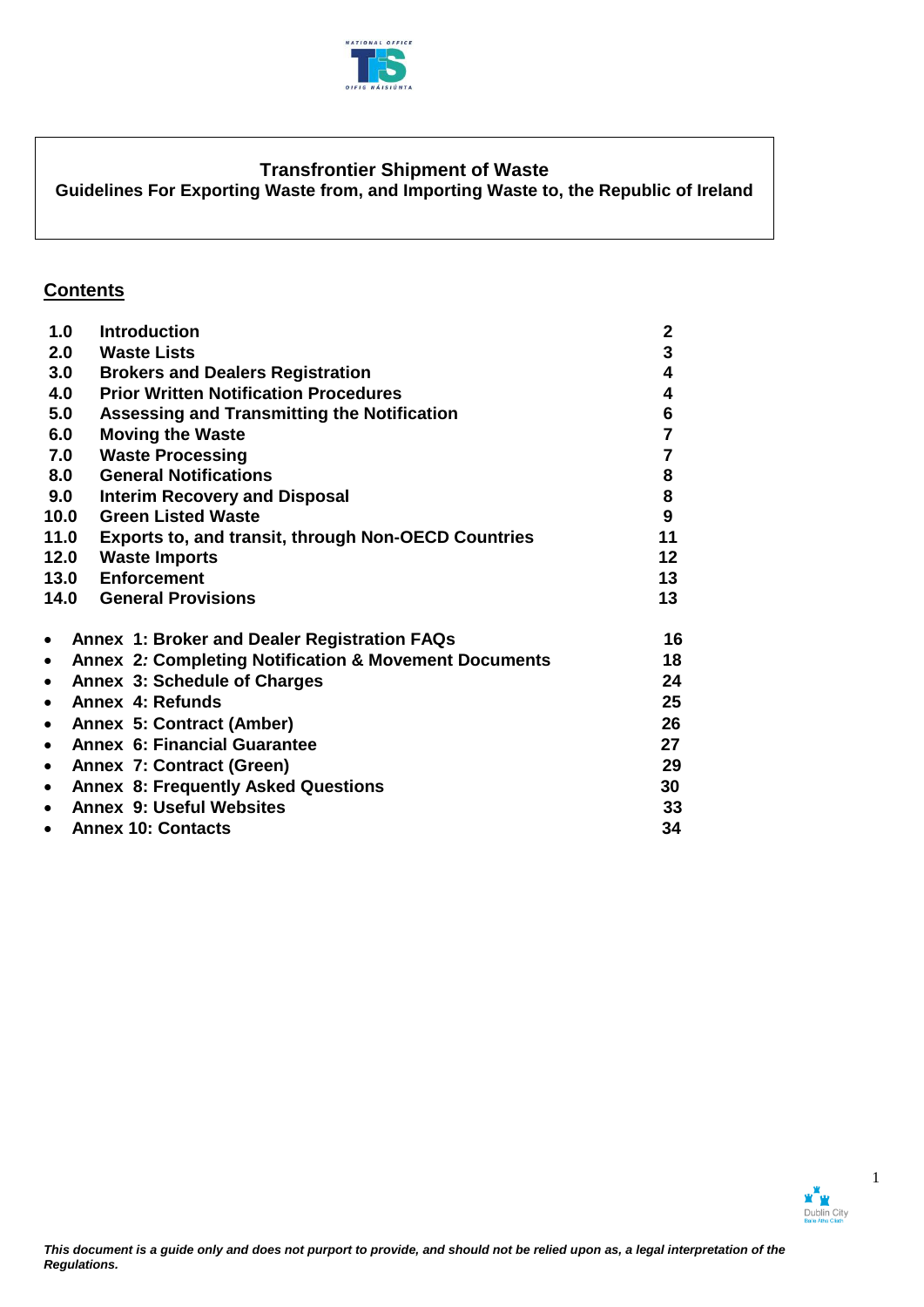

# **Transfrontier Shipment of Waste**

**Guidelines For Exporting Waste from, and Importing Waste to, the Republic of Ireland**

# **Contents**

| 1.0       | <b>Introduction</b>                                              | $\mathbf{2}$   |
|-----------|------------------------------------------------------------------|----------------|
|           | 2.0 Waste Lists                                                  | 3              |
| 3.0       | <b>Brokers and Dealers Registration</b>                          | 4              |
| 4.0       | <b>Prior Written Notification Procedures</b>                     | 4              |
| 5.0       | Assessing and Transmitting the Notification                      | 6              |
| 6.0       | <b>Moving the Waste</b>                                          | $\overline{7}$ |
| 7.0       | <b>Waste Processing</b>                                          | 7              |
| 8.0       | <b>General Notifications</b>                                     | 8              |
| 9.0       | <b>Interim Recovery and Disposal</b>                             | 8              |
| 10.0      | <b>Green Listed Waste</b>                                        | 9              |
| 11.0      | Exports to, and transit, through Non-OECD Countries              | 11             |
| 12.0      | <b>Waste Imports</b>                                             | 12             |
|           | 13.0 Enforcement                                                 | 13             |
|           | <b>14.0 General Provisions</b>                                   | 13             |
| $\bullet$ | Annex 1: Broker and Dealer Registration FAQs                     | 16             |
| $\bullet$ | <b>Annex 2: Completing Notification &amp; Movement Documents</b> | 18             |
| $\bullet$ | Annex 3: Schedule of Charges                                     | 24             |
| $\bullet$ | Annex 4: Refunds                                                 | 25             |
| $\bullet$ | Annex 5: Contract (Amber)                                        | 26             |
| $\bullet$ | <b>Annex 6: Financial Guarantee</b>                              | 27             |
| $\bullet$ | Annex 7: Contract (Green)                                        | 29             |
| $\bullet$ | <b>Annex 8: Frequently Asked Questions</b>                       | 30             |
| $\bullet$ | <b>Annex 9: Useful Websites</b>                                  | 33             |
| $\bullet$ | <b>Annex 10: Contacts</b>                                        | 34             |

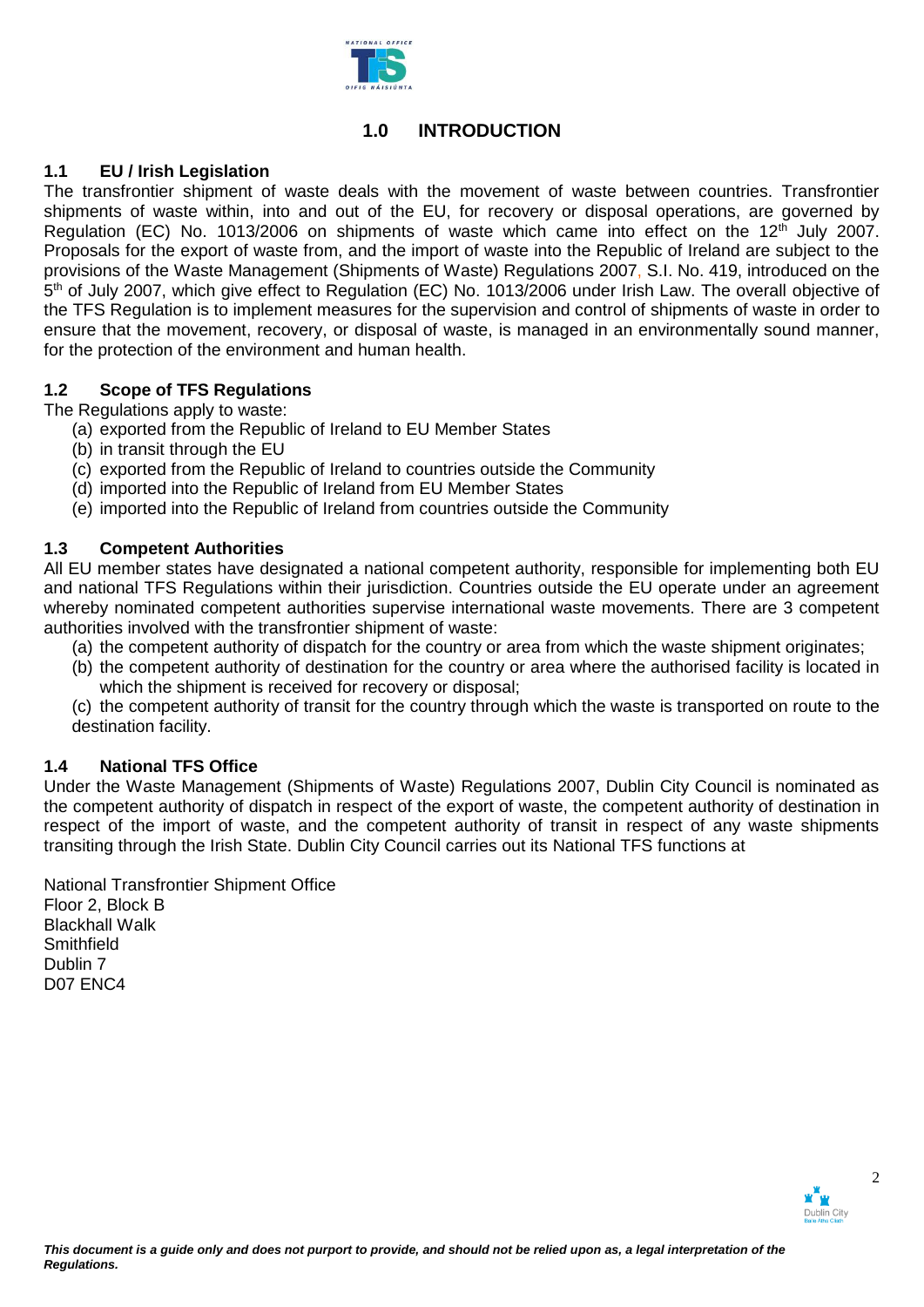

# **1.0 INTRODUCTION**

# **1.1 EU / Irish Legislation**

The transfrontier shipment of waste deals with the movement of waste between countries. Transfrontier shipments of waste within, into and out of the EU, for recovery or disposal operations, are governed by Regulation (EC) No. 1013/2006 on shipments of waste which came into effect on the 12<sup>th</sup> July 2007. Proposals for the export of waste from, and the import of waste into the Republic of Ireland are subject to the provisions of the Waste Management (Shipments of Waste) Regulations 2007, S.I. No. 419, introduced on the 5<sup>th</sup> of July 2007, which give effect to Regulation (EC) No. 1013/2006 under Irish Law. The overall objective of the TFS Regulation is to implement measures for the supervision and control of shipments of waste in order to ensure that the movement, recovery, or disposal of waste, is managed in an environmentally sound manner, for the protection of the environment and human health.

# **1.2 Scope of TFS Regulations**

The Regulations apply to waste:

- (a) exported from the Republic of Ireland to EU Member States
- (b) in transit through the EU
- (c) exported from the Republic of Ireland to countries outside the Community
- (d) imported into the Republic of Ireland from EU Member States
- (e) imported into the Republic of Ireland from countries outside the Community

# **1.3 Competent Authorities**

All EU member states have designated a national competent authority, responsible for implementing both EU and national TFS Regulations within their jurisdiction. Countries outside the EU operate under an agreement whereby nominated competent authorities supervise international waste movements. There are 3 competent authorities involved with the transfrontier shipment of waste:

- (a) the competent authority of dispatch for the country or area from which the waste shipment originates;
- (b) the competent authority of destination for the country or area where the authorised facility is located in which the shipment is received for recovery or disposal;
- (c) the competent authority of transit for the country through which the waste is transported on route to the destination facility.

# **1.4 National TFS Office**

Under the Waste Management (Shipments of Waste) Regulations 2007, Dublin City Council is nominated as the competent authority of dispatch in respect of the export of waste, the competent authority of destination in respect of the import of waste, and the competent authority of transit in respect of any waste shipments transiting through the Irish State. Dublin City Council carries out its National TFS functions at

National Transfrontier Shipment Office Floor 2, Block B Blackhall Walk **Smithfield** Dublin 7 D07 ENC4

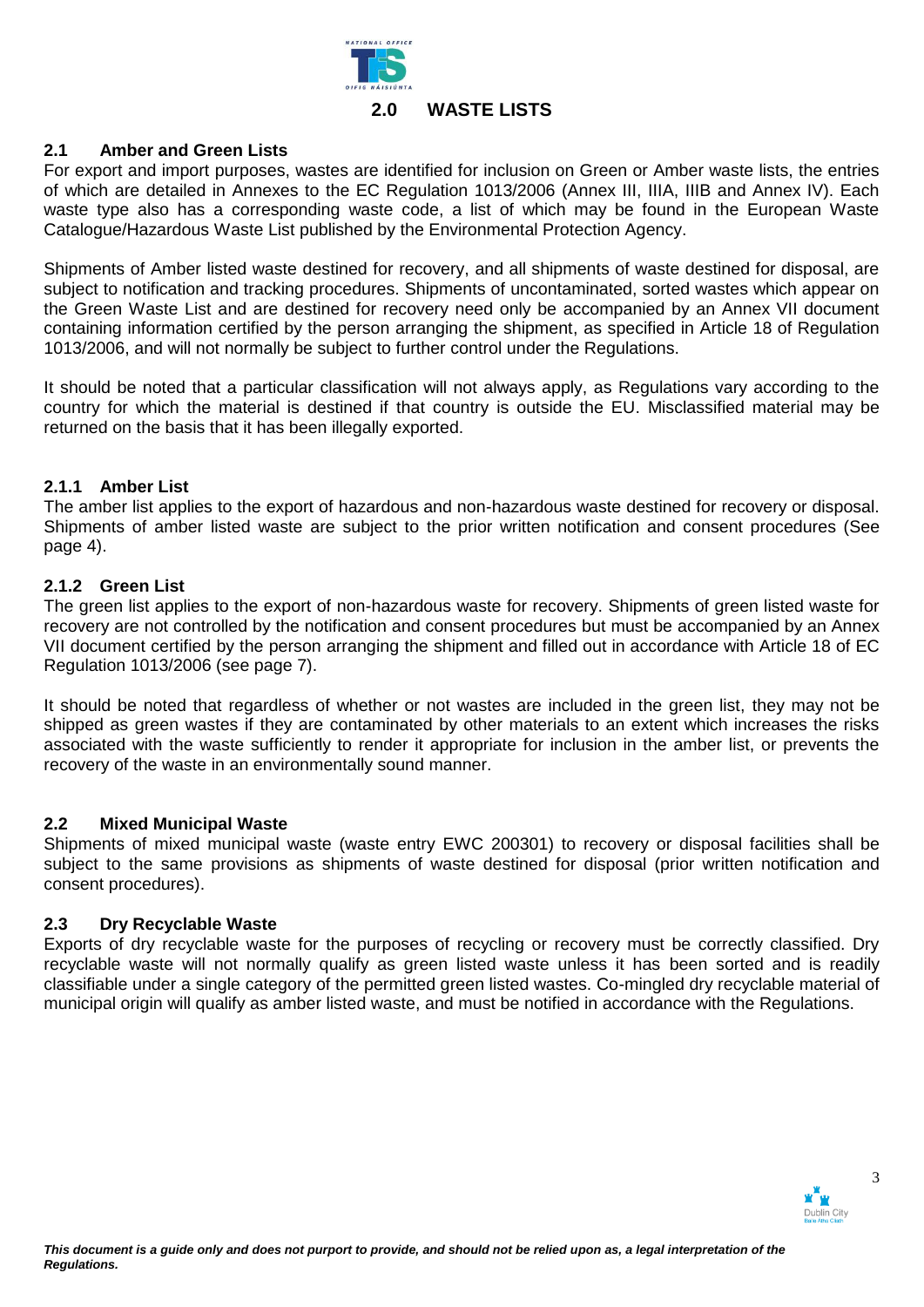

# **2.1 Amber and Green Lists**

For export and import purposes, wastes are identified for inclusion on Green or Amber waste lists, the entries of which are detailed in Annexes to the EC Regulation 1013/2006 (Annex III, IIIA, IIIB and Annex IV). Each waste type also has a corresponding waste code, a list of which may be found in the European Waste Catalogue/Hazardous Waste List published by the Environmental Protection Agency.

Shipments of Amber listed waste destined for recovery, and all shipments of waste destined for disposal, are subject to notification and tracking procedures. Shipments of uncontaminated, sorted wastes which appear on the Green Waste List and are destined for recovery need only be accompanied by an Annex VII document containing information certified by the person arranging the shipment, as specified in Article 18 of Regulation 1013/2006, and will not normally be subject to further control under the Regulations.

It should be noted that a particular classification will not always apply, as Regulations vary according to the country for which the material is destined if that country is outside the EU. Misclassified material may be returned on the basis that it has been illegally exported.

# **2.1.1 Amber List**

The amber list applies to the export of hazardous and non-hazardous waste destined for recovery or disposal. Shipments of amber listed waste are subject to the prior written notification and consent procedures (See page 4).

## **2.1.2 Green List**

The green list applies to the export of non-hazardous waste for recovery. Shipments of green listed waste for recovery are not controlled by the notification and consent procedures but must be accompanied by an Annex VII document certified by the person arranging the shipment and filled out in accordance with Article 18 of EC Regulation 1013/2006 (see page 7).

It should be noted that regardless of whether or not wastes are included in the green list, they may not be shipped as green wastes if they are contaminated by other materials to an extent which increases the risks associated with the waste sufficiently to render it appropriate for inclusion in the amber list, or prevents the recovery of the waste in an environmentally sound manner.

# **2.2 Mixed Municipal Waste**

Shipments of mixed municipal waste (waste entry EWC 200301) to recovery or disposal facilities shall be subject to the same provisions as shipments of waste destined for disposal (prior written notification and consent procedures).

# **2.3 Dry Recyclable Waste**

Exports of dry recyclable waste for the purposes of recycling or recovery must be correctly classified. Dry recyclable waste will not normally qualify as green listed waste unless it has been sorted and is readily classifiable under a single category of the permitted green listed wastes. Co-mingled dry recyclable material of municipal origin will qualify as amber listed waste, and must be notified in accordance with the Regulations.

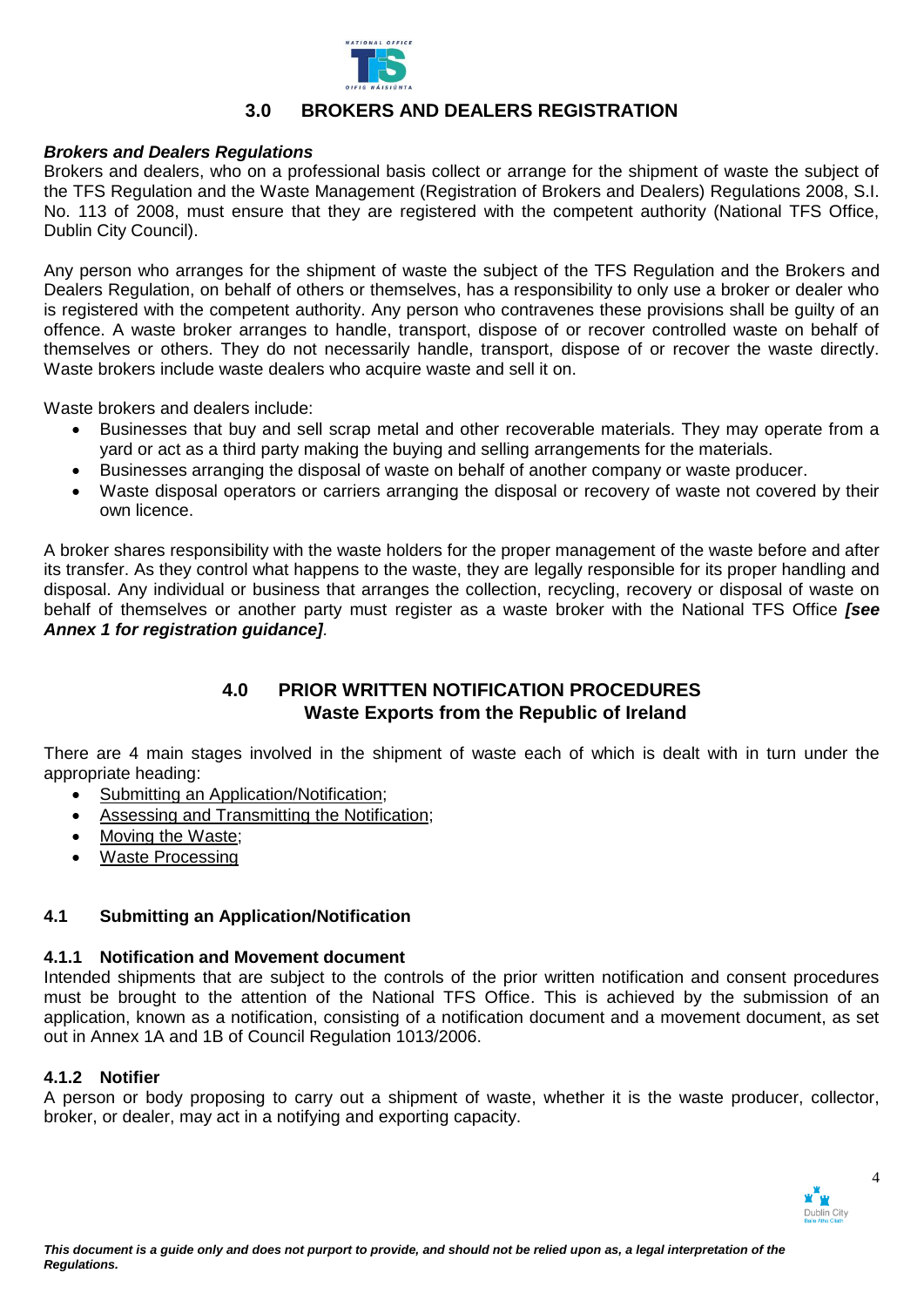

# **3.0 BROKERS AND DEALERS REGISTRATION**

## *Brokers and Dealers Regulations*

Brokers and dealers, who on a professional basis collect or arrange for the shipment of waste the subject of the TFS Regulation and the Waste Management (Registration of Brokers and Dealers) Regulations 2008, S.I. No. 113 of 2008, must ensure that they are registered with the competent authority (National TFS Office, Dublin City Council).

Any person who arranges for the shipment of waste the subject of the TFS Regulation and the Brokers and Dealers Regulation, on behalf of others or themselves, has a responsibility to only use a broker or dealer who is registered with the competent authority. Any person who contravenes these provisions shall be guilty of an offence. A waste broker arranges to handle, transport, dispose of or recover controlled waste on behalf of themselves or others. They do not necessarily handle, transport, dispose of or recover the waste directly. Waste brokers include waste dealers who acquire waste and sell it on.

Waste brokers and dealers include:

- Businesses that buy and sell scrap metal and other recoverable materials. They may operate from a yard or act as a third party making the buying and selling arrangements for the materials.
- Businesses arranging the disposal of waste on behalf of another company or waste producer.
- Waste disposal operators or carriers arranging the disposal or recovery of waste not covered by their own licence.

A broker shares responsibility with the waste holders for the proper management of the waste before and after its transfer. As they control what happens to the waste, they are legally responsible for its proper handling and disposal. Any individual or business that arranges the collection, recycling, recovery or disposal of waste on behalf of themselves or another party must register as a waste broker with the National TFS Office *[see Annex 1 for registration guidance].*

# **4.0 PRIOR WRITTEN NOTIFICATION PROCEDURES Waste Exports from the Republic of Ireland**

There are 4 main stages involved in the shipment of waste each of which is dealt with in turn under the appropriate heading:

- Submitting an Application/Notification;
- Assessing and Transmitting the Notification;
- Moving the Waste;
- Waste Processing

# **4.1 Submitting an Application/Notification**

### **4.1.1 Notification and Movement document**

Intended shipments that are subject to the controls of the prior written notification and consent procedures must be brought to the attention of the National TFS Office. This is achieved by the submission of an application, known as a notification, consisting of a notification document and a movement document, as set out in Annex 1A and 1B of Council Regulation 1013/2006.

# **4.1.2 Notifier**

A person or body proposing to carry out a shipment of waste, whether it is the waste producer, collector, broker, or dealer, may act in a notifying and exporting capacity.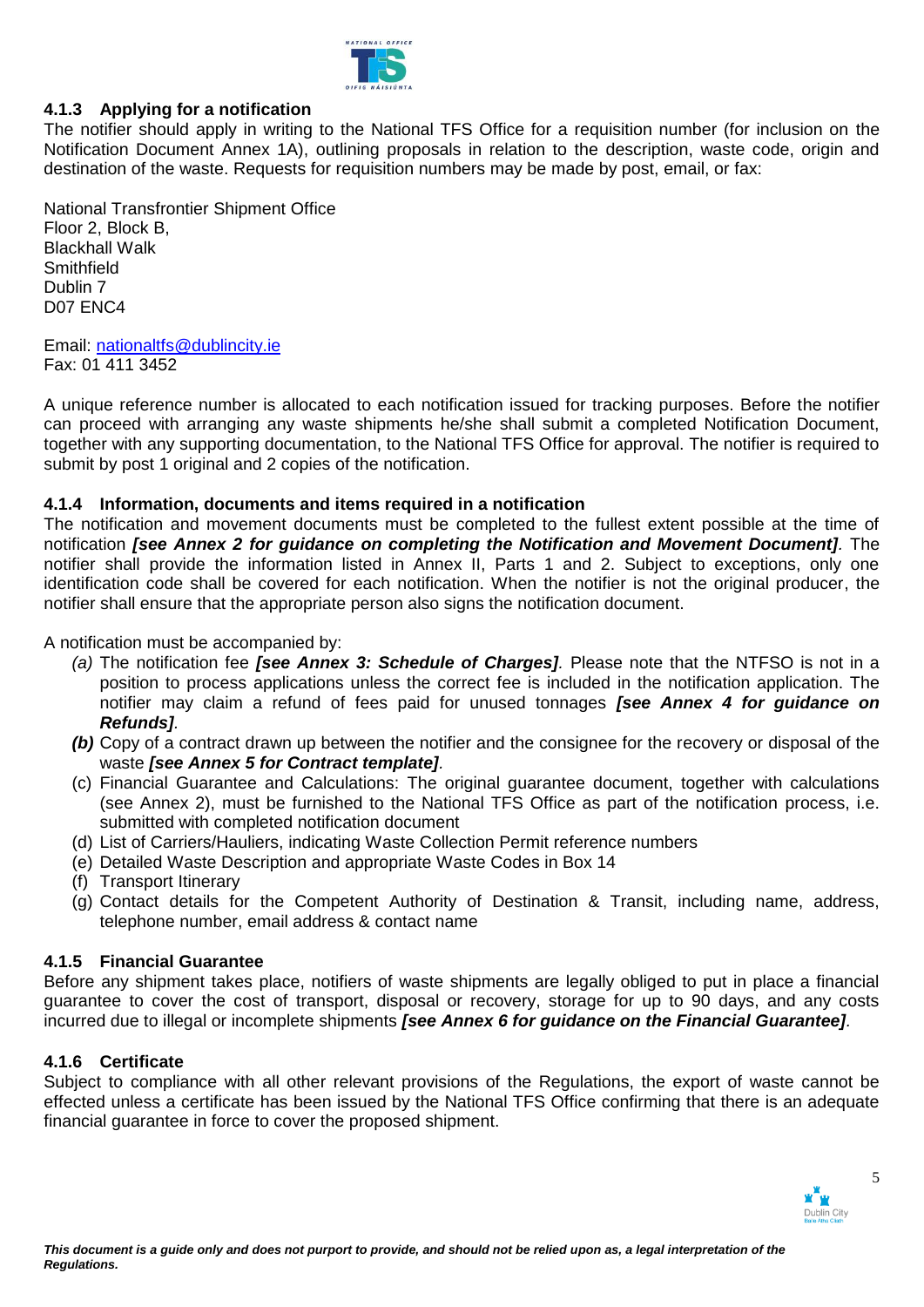

# **4.1.3 Applying for a notification**

The notifier should apply in writing to the National TFS Office for a requisition number (for inclusion on the Notification Document Annex 1A), outlining proposals in relation to the description, waste code, origin and destination of the waste. Requests for requisition numbers may be made by post, email, or fax:

National Transfrontier Shipment Office Floor 2, Block B, Blackhall Walk Smithfield Dublin 7 D07 ENC4

Email: [nationaltfs@dublincity.ie](mailto:nationaltfs@dublincity.ie) Fax: 01 411 3452

A unique reference number is allocated to each notification issued for tracking purposes. Before the notifier can proceed with arranging any waste shipments he/she shall submit a completed Notification Document, together with any supporting documentation, to the National TFS Office for approval. The notifier is required to submit by post 1 original and 2 copies of the notification.

# **4.1.4 Information, documents and items required in a notification**

The notification and movement documents must be completed to the fullest extent possible at the time of notification *[see Annex 2 for guidance on completing the Notification and Movement Document].* The notifier shall provide the information listed in Annex II, Parts 1 and 2. Subject to exceptions, only one identification code shall be covered for each notification. When the notifier is not the original producer, the notifier shall ensure that the appropriate person also signs the notification document.

A notification must be accompanied by:

- *(a)* The notification fee *[see Annex 3: Schedule of Charges].* Please note that the NTFSO is not in a position to process applications unless the correct fee is included in the notification application. The notifier may claim a refund of fees paid for unused tonnages *[see Annex 4 for guidance on Refunds].*
- *(b)* Copy of a contract drawn up between the notifier and the consignee for the recovery or disposal of the waste *[see Annex 5 for Contract template].*
- (c) Financial Guarantee and Calculations: The original guarantee document, together with calculations (see Annex 2), must be furnished to the National TFS Office as part of the notification process, i.e. submitted with completed notification document
- (d) List of Carriers/Hauliers, indicating Waste Collection Permit reference numbers
- (e) Detailed Waste Description and appropriate Waste Codes in Box 14
- (f) Transport Itinerary
- (g) Contact details for the Competent Authority of Destination & Transit, including name, address, telephone number, email address & contact name

# **4.1.5 Financial Guarantee**

Before any shipment takes place, notifiers of waste shipments are legally obliged to put in place a financial guarantee to cover the cost of transport, disposal or recovery, storage for up to 90 days, and any costs incurred due to illegal or incomplete shipments *[see Annex 6 for guidance on the Financial Guarantee].* 

# **4.1.6 Certificate**

Subject to compliance with all other relevant provisions of the Regulations, the export of waste cannot be effected unless a certificate has been issued by the National TFS Office confirming that there is an adequate financial guarantee in force to cover the proposed shipment.

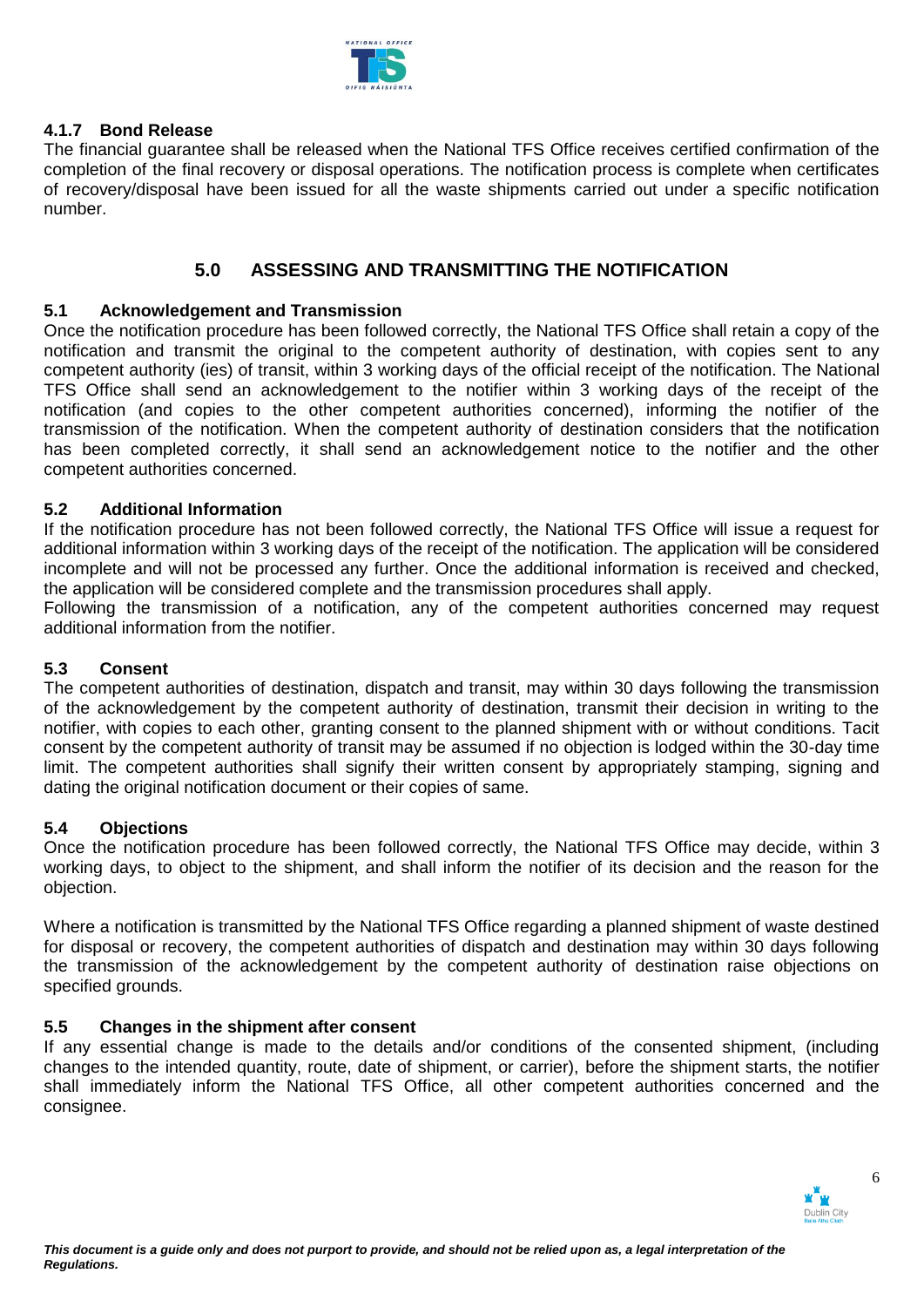

# **4.1.7 Bond Release**

The financial guarantee shall be released when the National TFS Office receives certified confirmation of the completion of the final recovery or disposal operations. The notification process is complete when certificates of recovery/disposal have been issued for all the waste shipments carried out under a specific notification number.

# **5.0 ASSESSING AND TRANSMITTING THE NOTIFICATION**

## **5.1 Acknowledgement and Transmission**

Once the notification procedure has been followed correctly, the National TFS Office shall retain a copy of the notification and transmit the original to the competent authority of destination, with copies sent to any competent authority (ies) of transit, within 3 working days of the official receipt of the notification. The National TFS Office shall send an acknowledgement to the notifier within 3 working days of the receipt of the notification (and copies to the other competent authorities concerned), informing the notifier of the transmission of the notification. When the competent authority of destination considers that the notification has been completed correctly, it shall send an acknowledgement notice to the notifier and the other competent authorities concerned.

## **5.2 Additional Information**

If the notification procedure has not been followed correctly, the National TFS Office will issue a request for additional information within 3 working days of the receipt of the notification. The application will be considered incomplete and will not be processed any further. Once the additional information is received and checked, the application will be considered complete and the transmission procedures shall apply.

Following the transmission of a notification, any of the competent authorities concerned may request additional information from the notifier.

# **5.3 Consent**

The competent authorities of destination, dispatch and transit, may within 30 days following the transmission of the acknowledgement by the competent authority of destination, transmit their decision in writing to the notifier, with copies to each other, granting consent to the planned shipment with or without conditions. Tacit consent by the competent authority of transit may be assumed if no objection is lodged within the 30-day time limit. The competent authorities shall signify their written consent by appropriately stamping, signing and dating the original notification document or their copies of same.

### **5.4 Objections**

Once the notification procedure has been followed correctly, the National TFS Office may decide, within 3 working days, to object to the shipment, and shall inform the notifier of its decision and the reason for the objection.

Where a notification is transmitted by the National TFS Office regarding a planned shipment of waste destined for disposal or recovery, the competent authorities of dispatch and destination may within 30 days following the transmission of the acknowledgement by the competent authority of destination raise objections on specified grounds.

### **5.5 Changes in the shipment after consent**

If any essential change is made to the details and/or conditions of the consented shipment, (including changes to the intended quantity, route, date of shipment, or carrier), before the shipment starts, the notifier shall immediately inform the National TFS Office, all other competent authorities concerned and the consignee.

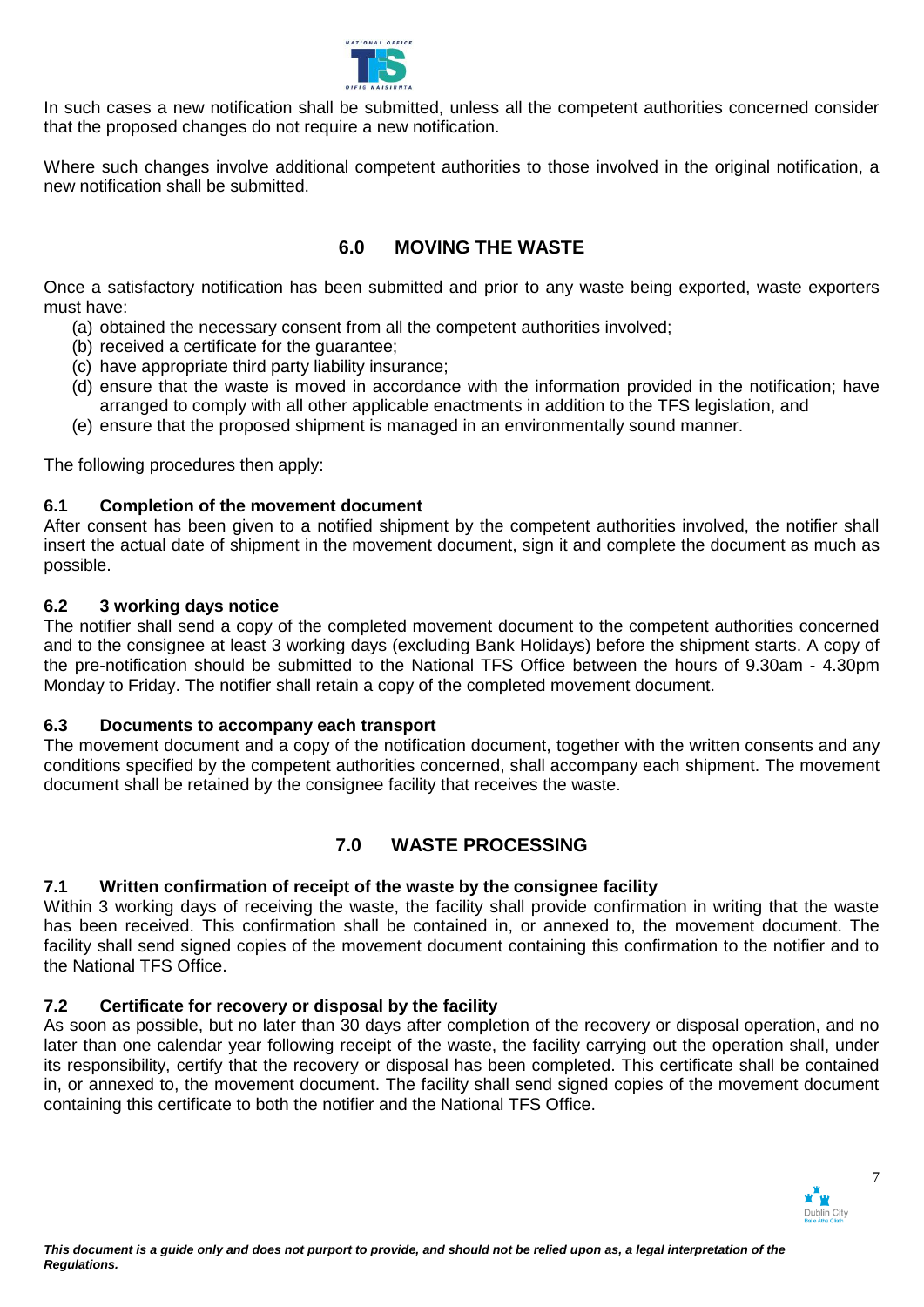

In such cases a new notification shall be submitted, unless all the competent authorities concerned consider that the proposed changes do not require a new notification.

Where such changes involve additional competent authorities to those involved in the original notification, a new notification shall be submitted.

# **6.0 MOVING THE WASTE**

Once a satisfactory notification has been submitted and prior to any waste being exported, waste exporters must have:

- (a) obtained the necessary consent from all the competent authorities involved;
- (b) received a certificate for the guarantee;
- (c) have appropriate third party liability insurance;
- (d) ensure that the waste is moved in accordance with the information provided in the notification; have arranged to comply with all other applicable enactments in addition to the TFS legislation, and
- (e) ensure that the proposed shipment is managed in an environmentally sound manner.

The following procedures then apply:

# **6.1 Completion of the movement document**

After consent has been given to a notified shipment by the competent authorities involved, the notifier shall insert the actual date of shipment in the movement document, sign it and complete the document as much as possible.

# **6.2 3 working days notice**

The notifier shall send a copy of the completed movement document to the competent authorities concerned and to the consignee at least 3 working days (excluding Bank Holidays) before the shipment starts. A copy of the pre-notification should be submitted to the National TFS Office between the hours of 9.30am - 4.30pm Monday to Friday. The notifier shall retain a copy of the completed movement document.

# **6.3 Documents to accompany each transport**

The movement document and a copy of the notification document, together with the written consents and any conditions specified by the competent authorities concerned, shall accompany each shipment. The movement document shall be retained by the consignee facility that receives the waste.

# **7.0 WASTE PROCESSING**

# **7.1 Written confirmation of receipt of the waste by the consignee facility**

Within 3 working days of receiving the waste, the facility shall provide confirmation in writing that the waste has been received. This confirmation shall be contained in, or annexed to, the movement document. The facility shall send signed copies of the movement document containing this confirmation to the notifier and to the National TFS Office.

# **7.2 Certificate for recovery or disposal by the facility**

As soon as possible, but no later than 30 days after completion of the recovery or disposal operation, and no later than one calendar year following receipt of the waste, the facility carrying out the operation shall, under its responsibility, certify that the recovery or disposal has been completed. This certificate shall be contained in, or annexed to, the movement document. The facility shall send signed copies of the movement document containing this certificate to both the notifier and the National TFS Office.

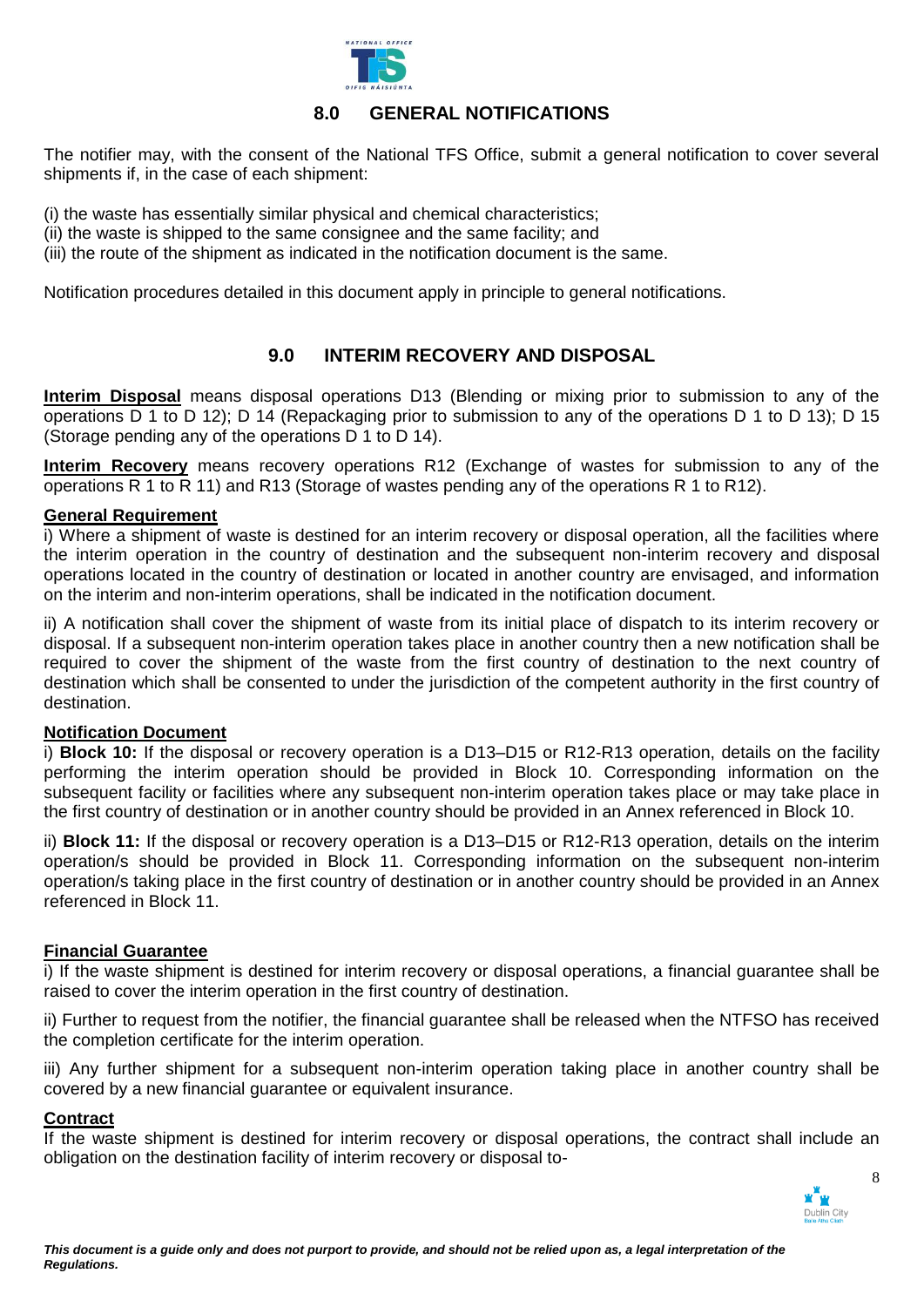

# **8.0 GENERAL NOTIFICATIONS**

The notifier may, with the consent of the National TFS Office, submit a general notification to cover several shipments if, in the case of each shipment:

(i) the waste has essentially similar physical and chemical characteristics;

- (ii) the waste is shipped to the same consignee and the same facility; and
- (iii) the route of the shipment as indicated in the notification document is the same.

Notification procedures detailed in this document apply in principle to general notifications.

# **9.0 INTERIM RECOVERY AND DISPOSAL**

**Interim Disposal** means disposal operations D13 (Blending or mixing prior to submission to any of the operations D 1 to D 12); D 14 (Repackaging prior to submission to any of the operations D 1 to D 13); D 15 (Storage pending any of the operations D 1 to D 14).

**Interim Recovery** means recovery operations R12 (Exchange of wastes for submission to any of the operations R 1 to R 11) and R13 (Storage of wastes pending any of the operations R 1 to R12).

## **General Requirement**

i) Where a shipment of waste is destined for an interim recovery or disposal operation, all the facilities where the interim operation in the country of destination and the subsequent non-interim recovery and disposal operations located in the country of destination or located in another country are envisaged, and information on the interim and non-interim operations, shall be indicated in the notification document.

ii) A notification shall cover the shipment of waste from its initial place of dispatch to its interim recovery or disposal. If a subsequent non-interim operation takes place in another country then a new notification shall be required to cover the shipment of the waste from the first country of destination to the next country of destination which shall be consented to under the jurisdiction of the competent authority in the first country of destination.

# **Notification Document**

i) **Block 10:** If the disposal or recovery operation is a D13–D15 or R12-R13 operation, details on the facility performing the interim operation should be provided in Block 10. Corresponding information on the subsequent facility or facilities where any subsequent non-interim operation takes place or may take place in the first country of destination or in another country should be provided in an Annex referenced in Block 10.

ii) **Block 11:** If the disposal or recovery operation is a D13–D15 or R12-R13 operation, details on the interim operation/s should be provided in Block 11. Corresponding information on the subsequent non-interim operation/s taking place in the first country of destination or in another country should be provided in an Annex referenced in Block 11.

# **Financial Guarantee**

i) If the waste shipment is destined for interim recovery or disposal operations, a financial guarantee shall be raised to cover the interim operation in the first country of destination.

ii) Further to request from the notifier, the financial guarantee shall be released when the NTFSO has received the completion certificate for the interim operation.

iii) Any further shipment for a subsequent non-interim operation taking place in another country shall be covered by a new financial guarantee or equivalent insurance.

### **Contract**

If the waste shipment is destined for interim recovery or disposal operations, the contract shall include an obligation on the destination facility of interim recovery or disposal to-

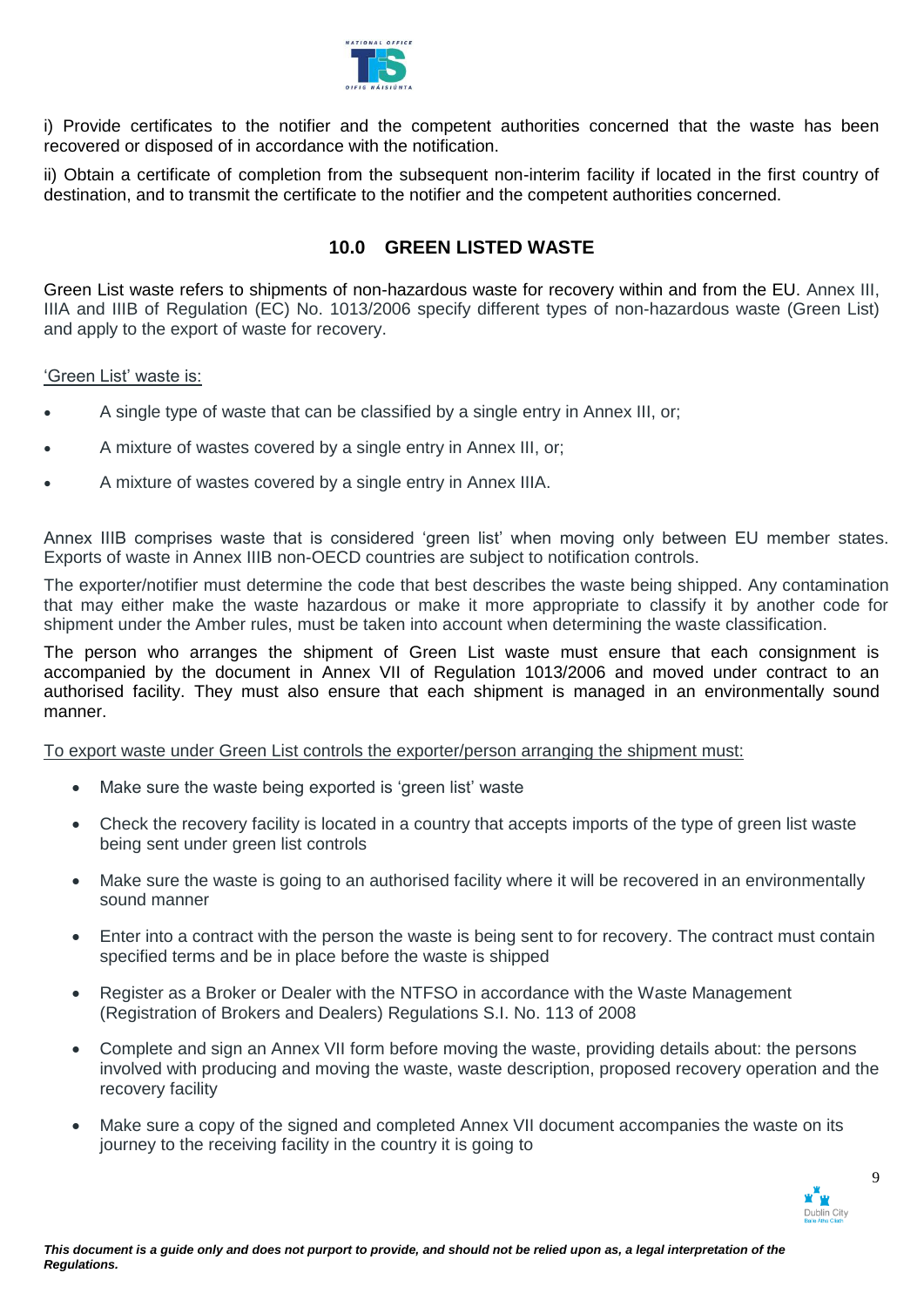

i) Provide certificates to the notifier and the competent authorities concerned that the waste has been recovered or disposed of in accordance with the notification.

ii) Obtain a certificate of completion from the subsequent non-interim facility if located in the first country of destination, and to transmit the certificate to the notifier and the competent authorities concerned.

# **10.0 GREEN LISTED WASTE**

Green List waste refers to shipments of non-hazardous waste for recovery within and from the EU. Annex III, IIIA and IIIB of Regulation (EC) No. 1013/2006 specify different types of non-hazardous waste (Green List) and apply to the export of waste for recovery.

## 'Green List' waste is:

- A single type of waste that can be classified by a single entry in Annex III, or;
- A mixture of wastes covered by a single entry in Annex III, or;
- A mixture of wastes covered by a single entry in Annex IIIA.

Annex IIIB comprises waste that is considered 'green list' when moving only between EU member states. Exports of waste in Annex IIIB non-OECD countries are subject to notification controls.

The exporter/notifier must determine the code that best describes the waste being shipped. Any contamination that may either make the waste hazardous or make it more appropriate to classify it by another code for shipment under the Amber rules, must be taken into account when determining the waste classification.

The person who arranges the shipment of Green List waste must ensure that each consignment is accompanied by the document in Annex VII of Regulation 1013/2006 and moved under contract to an authorised facility. They must also ensure that each shipment is managed in an environmentally sound manner.

To export waste under Green List controls the exporter/person arranging the shipment must:

- Make sure the waste being exported is 'green list' waste
- Check the recovery facility is located in a country that accepts imports of the type of green list waste being sent under green list controls
- Make sure the waste is going to an authorised facility where it will be recovered in an environmentally sound manner
- Enter into a contract with the person the waste is being sent to for recovery. The contract must contain specified terms and be in place before the waste is shipped
- Register as a Broker or Dealer with the NTFSO in accordance with the Waste Management (Registration of Brokers and Dealers) Regulations S.I. No. 113 of 2008
- Complete and sign an Annex VII form before moving the waste, providing details about: the persons involved with producing and moving the waste, waste description, proposed recovery operation and the recovery facility
- Make sure a copy of the signed and completed Annex VII document accompanies the waste on its journey to the receiving facility in the country it is going to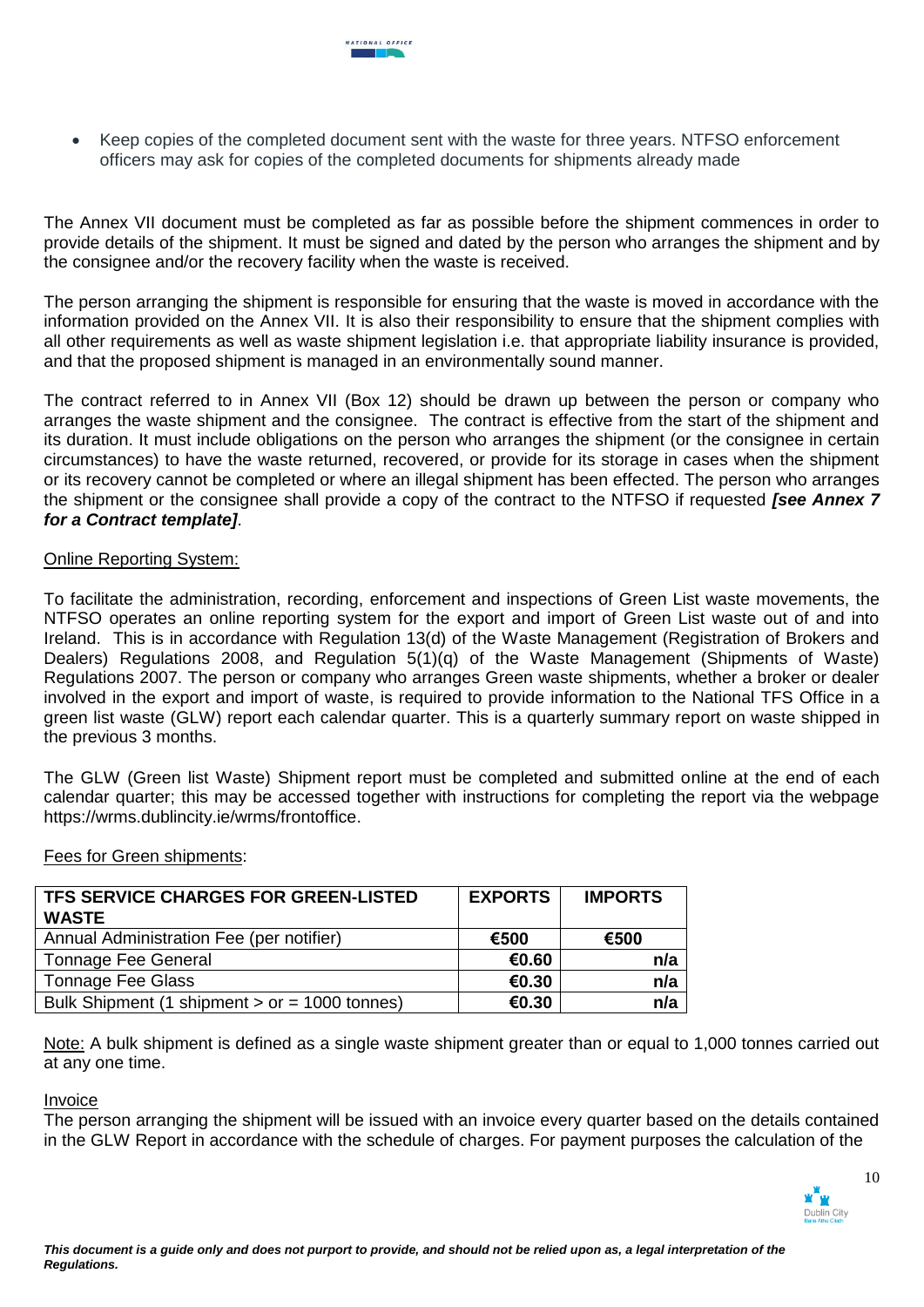Keep copies of the completed document sent with the waste for three years. NTFSO enforcement officers may ask for copies of the completed documents for shipments already made

The Annex VII document must be completed as far as possible before the shipment commences in order to provide details of the shipment. It must be signed and dated by the person who arranges the shipment and by the consignee and/or the recovery facility when the waste is received.

The person arranging the shipment is responsible for ensuring that the waste is moved in accordance with the information provided on the Annex VII. It is also their responsibility to ensure that the shipment complies with all other requirements as well as waste shipment legislation i.e. that appropriate liability insurance is provided, and that the proposed shipment is managed in an environmentally sound manner.

The contract referred to in Annex VII (Box 12) should be drawn up between the person or company who arranges the waste shipment and the consignee. The contract is effective from the start of the shipment and its duration. It must include obligations on the person who arranges the shipment (or the consignee in certain circumstances) to have the waste returned, recovered, or provide for its storage in cases when the shipment or its recovery cannot be completed or where an illegal shipment has been effected. The person who arranges the shipment or the consignee shall provide a copy of the contract to the NTFSO if requested *[see Annex 7 for a Contract template].*

### Online Reporting System:

To facilitate the administration, recording, enforcement and inspections of Green List waste movements, the NTFSO operates an online reporting system for the export and import of Green List waste out of and into Ireland. This is in accordance with Regulation 13(d) of the Waste Management (Registration of Brokers and Dealers) Regulations 2008, and Regulation 5(1)(q) of the Waste Management (Shipments of Waste) Regulations 2007. The person or company who arranges Green waste shipments, whether a broker or dealer involved in the export and import of waste, is required to provide information to the National TFS Office in a green list waste (GLW) report each calendar quarter. This is a quarterly summary report on waste shipped in the previous 3 months.

The GLW (Green list Waste) Shipment report must be completed and submitted online at the end of each calendar quarter; this may be accessed together with instructions for completing the report via the webpage [https://wrms.dublincity.ie/wrms/frontoffice.](https://wrms.dublincity.ie/wrms/frontoffice)

| <b>TFS SERVICE CHARGES FOR GREEN-LISTED</b>     | <b>EXPORTS</b> | <b>IMPORTS</b> |
|-------------------------------------------------|----------------|----------------|
| WASTE                                           |                |                |
| Annual Administration Fee (per notifier)        | €500           | €500           |
| Tonnage Fee General                             | €0.60          | n/a            |
| <b>Tonnage Fee Glass</b>                        | €0.30          | n/a            |
| Bulk Shipment (1 shipment $>$ or = 1000 tonnes) | €0.30          | n/a            |

### Fees for Green shipments:

Note: A bulk shipment is defined as a single waste shipment greater than or equal to 1,000 tonnes carried out at any one time.

### Invoice

The person arranging the shipment will be issued with an invoice every quarter based on the details contained in the GLW Report in accordance with the schedule of charges. For payment purposes the calculation of the

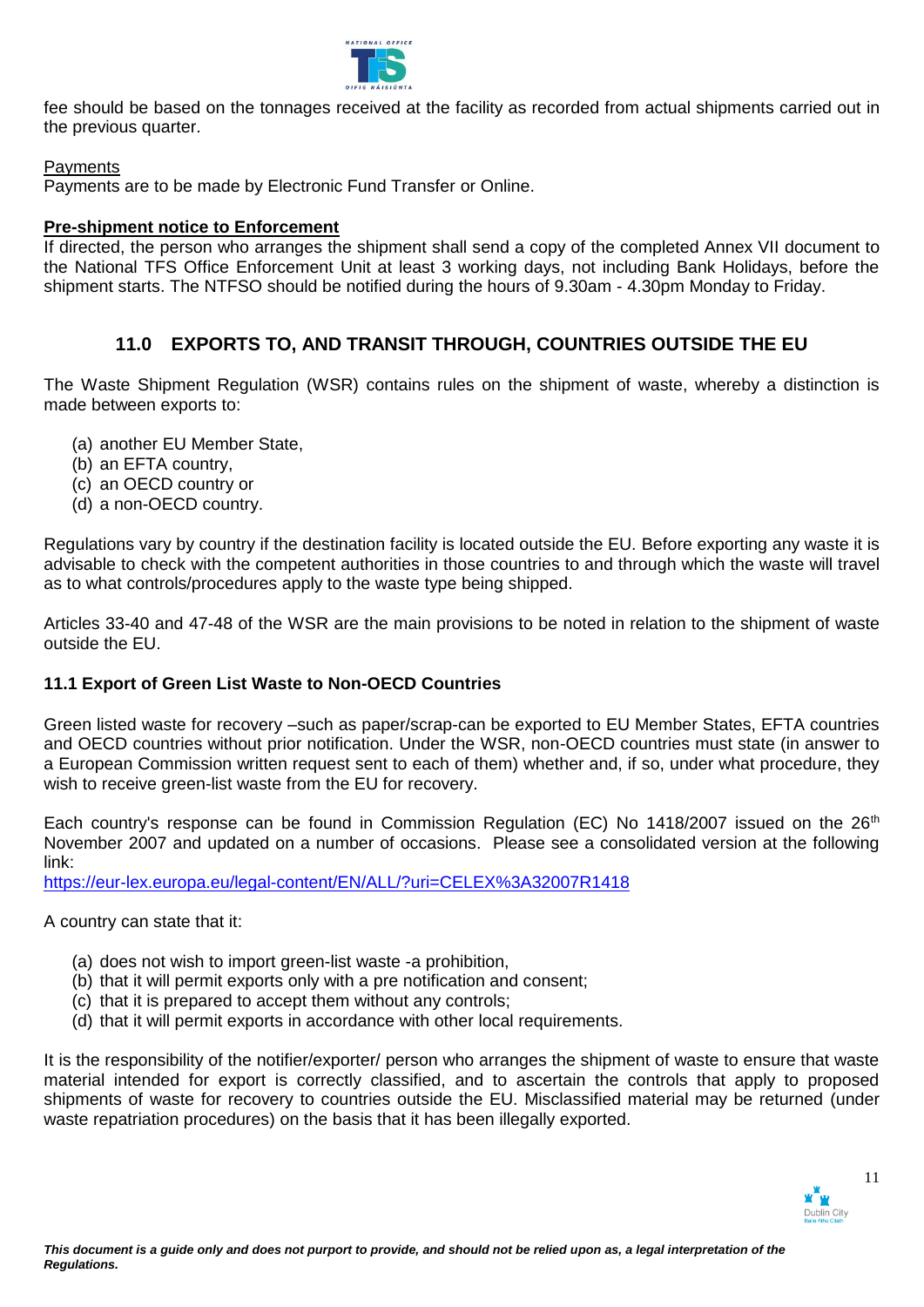

fee should be based on the tonnages received at the facility as recorded from actual shipments carried out in the previous quarter.

## **Payments**

Payments are to be made by Electronic Fund Transfer or Online.

## **Pre-shipment notice to Enforcement**

If directed, the person who arranges the shipment shall send a copy of the completed Annex VII document to the National TFS Office Enforcement Unit at least 3 working days, not including Bank Holidays, before the shipment starts. The NTFSO should be notified during the hours of 9.30am - 4.30pm Monday to Friday.

# **11.0 EXPORTS TO, AND TRANSIT THROUGH, COUNTRIES OUTSIDE THE EU**

The Waste Shipment Regulation (WSR) contains rules on the shipment of waste, whereby a distinction is made between exports to:

- (a) another EU Member State,
- (b) an EFTA country,
- (c) an OECD country or
- (d) a non-OECD country.

Regulations vary by country if the destination facility is located outside the EU. Before exporting any waste it is advisable to check with the competent authorities in those countries to and through which the waste will travel as to what controls/procedures apply to the waste type being shipped.

Articles 33-40 and 47-48 of the WSR are the main provisions to be noted in relation to the shipment of waste outside the EU.

# **11.1 Export of Green List Waste to Non-OECD Countries**

Green listed waste for recovery –such as paper/scrap-can be exported to EU Member States, EFTA countries and OECD countries without prior notification. Under the WSR, non-OECD countries must state (in answer to a European Commission written request sent to each of them) whether and, if so, under what procedure, they wish to receive green-list waste from the EU for recovery.

Each country's response can be found in Commission Regulation (EC) No 1418/2007 issued on the 26<sup>th</sup> November 2007 and updated on a number of occasions. Please see a consolidated version at the following link:

<https://eur-lex.europa.eu/legal-content/EN/ALL/?uri=CELEX%3A32007R1418>

A country can state that it:

- (a) does not wish to import green-list waste -a prohibition,
- (b) that it will permit exports only with a pre notification and consent;
- (c) that it is prepared to accept them without any controls;
- (d) that it will permit exports in accordance with other local requirements.

It is the responsibility of the notifier/exporter/ person who arranges the shipment of waste to ensure that waste material intended for export is correctly classified, and to ascertain the controls that apply to proposed shipments of waste for recovery to countries outside the EU. Misclassified material may be returned (under waste repatriation procedures) on the basis that it has been illegally exported.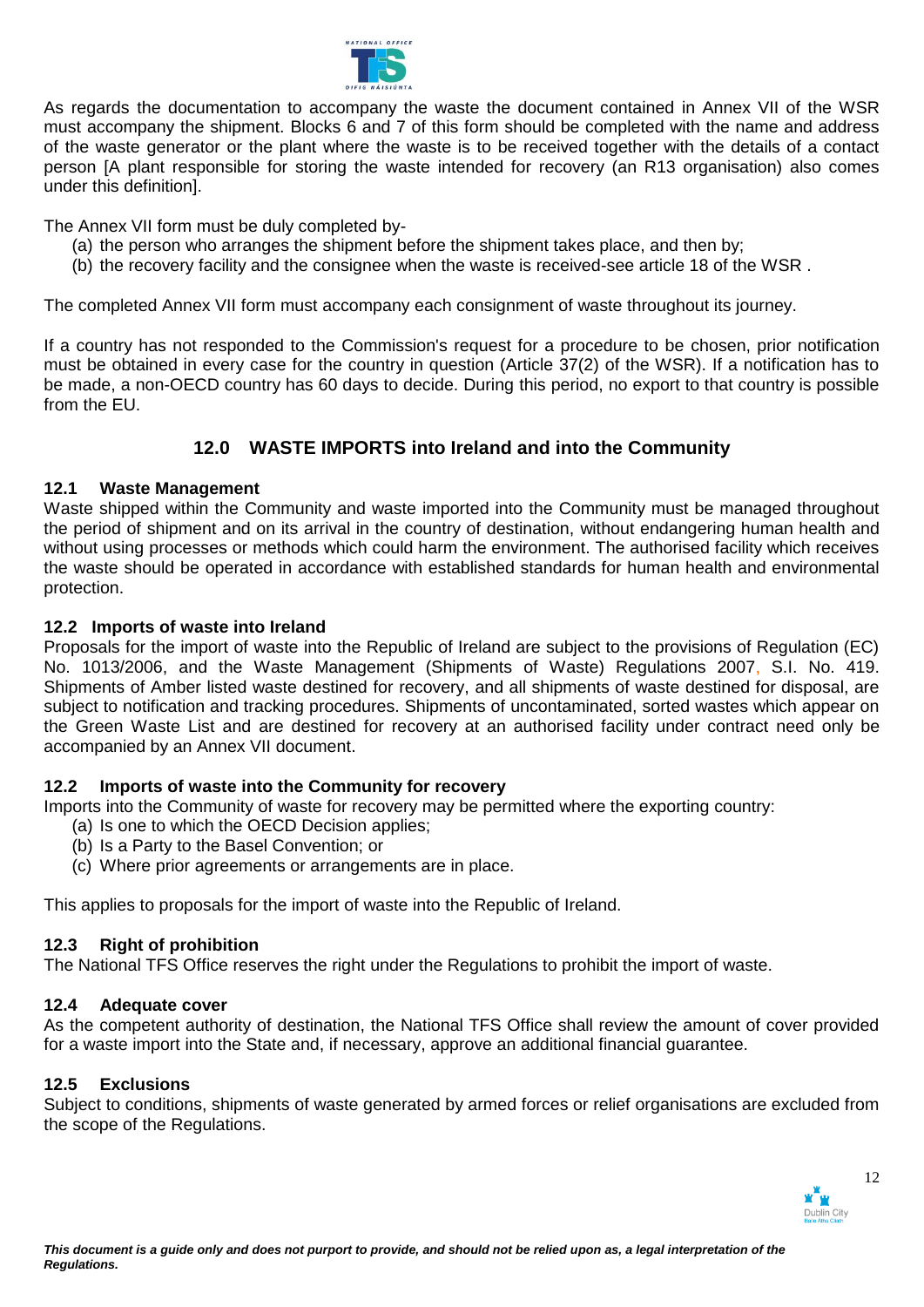

As regards the documentation to accompany the waste the document contained in Annex VII of the WSR must accompany the shipment. Blocks 6 and 7 of this form should be completed with the name and address of the waste generator or the plant where the waste is to be received together with the details of a contact person [A plant responsible for storing the waste intended for recovery (an R13 organisation) also comes under this definition].

The Annex VII form must be duly completed by-

- (a) the person who arranges the shipment before the shipment takes place, and then by;
- (b) the recovery facility and the consignee when the waste is received-see article 18 of the WSR .

The completed Annex VII form must accompany each consignment of waste throughout its journey.

If a country has not responded to the Commission's request for a procedure to be chosen, prior notification must be obtained in every case for the country in question (Article 37(2) of the WSR). If a notification has to be made, a non-OECD country has 60 days to decide. During this period, no export to that country is possible from the EU.

# **12.0 WASTE IMPORTS into Ireland and into the Community**

# **12.1 Waste Management**

Waste shipped within the Community and waste imported into the Community must be managed throughout the period of shipment and on its arrival in the country of destination, without endangering human health and without using processes or methods which could harm the environment. The authorised facility which receives the waste should be operated in accordance with established standards for human health and environmental protection.

# **12.2 Imports of waste into Ireland**

Proposals for the import of waste into the Republic of Ireland are subject to the provisions of Regulation (EC) No. 1013/2006, and the Waste Management (Shipments of Waste) Regulations 2007, S.I. No. 419. Shipments of Amber listed waste destined for recovery, and all shipments of waste destined for disposal, are subject to notification and tracking procedures. Shipments of uncontaminated, sorted wastes which appear on the Green Waste List and are destined for recovery at an authorised facility under contract need only be accompanied by an Annex VII document.

# **12.2 Imports of waste into the Community for recovery**

Imports into the Community of waste for recovery may be permitted where the exporting country:

- (a) Is one to which the OECD Decision applies;
- (b) Is a Party to the Basel Convention; or
- (c) Where prior agreements or arrangements are in place.

This applies to proposals for the import of waste into the Republic of Ireland.

# **12.3 Right of prohibition**

The National TFS Office reserves the right under the Regulations to prohibit the import of waste.

# **12.4 Adequate cover**

As the competent authority of destination, the National TFS Office shall review the amount of cover provided for a waste import into the State and, if necessary, approve an additional financial guarantee.

# **12.5 Exclusions**

Subject to conditions, shipments of waste generated by armed forces or relief organisations are excluded from the scope of the Regulations.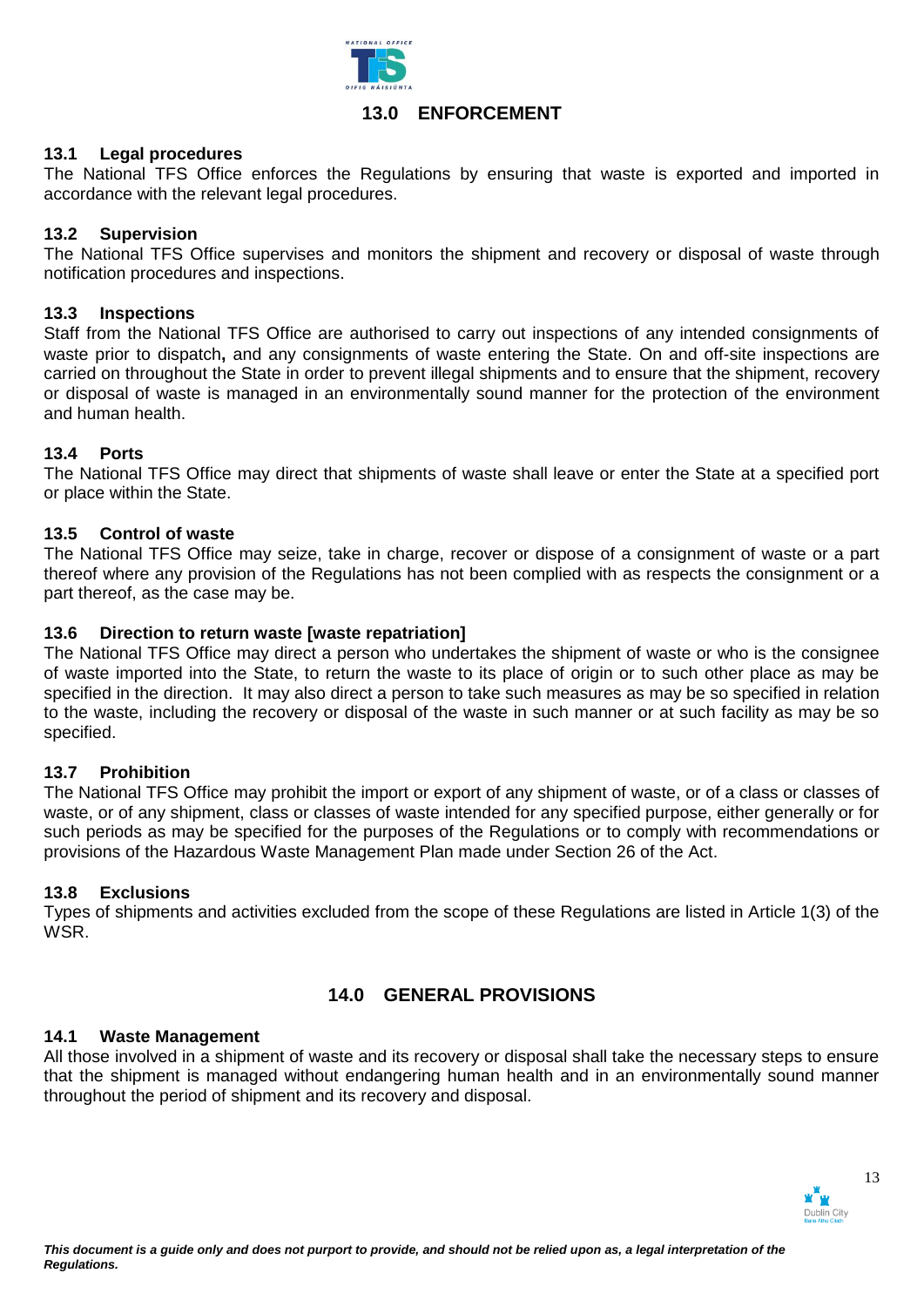

# **13.0 ENFORCEMENT**

## **13.1 Legal procedures**

The National TFS Office enforces the Regulations by ensuring that waste is exported and imported in accordance with the relevant legal procedures.

## **13.2 Supervision**

The National TFS Office supervises and monitors the shipment and recovery or disposal of waste through notification procedures and inspections.

## **13.3 Inspections**

Staff from the National TFS Office are authorised to carry out inspections of any intended consignments of waste prior to dispatch**,** and any consignments of waste entering the State. On and off-site inspections are carried on throughout the State in order to prevent illegal shipments and to ensure that the shipment, recovery or disposal of waste is managed in an environmentally sound manner for the protection of the environment and human health.

## **13.4 Ports**

The National TFS Office may direct that shipments of waste shall leave or enter the State at a specified port or place within the State.

## **13.5 Control of waste**

The National TFS Office may seize, take in charge, recover or dispose of a consignment of waste or a part thereof where any provision of the Regulations has not been complied with as respects the consignment or a part thereof, as the case may be.

## **13.6 Direction to return waste [waste repatriation]**

The National TFS Office may direct a person who undertakes the shipment of waste or who is the consignee of waste imported into the State, to return the waste to its place of origin or to such other place as may be specified in the direction. It may also direct a person to take such measures as may be so specified in relation to the waste, including the recovery or disposal of the waste in such manner or at such facility as may be so specified.

### **13.7 Prohibition**

The National TFS Office may prohibit the import or export of any shipment of waste, or of a class or classes of waste, or of any shipment, class or classes of waste intended for any specified purpose, either generally or for such periods as may be specified for the purposes of the Regulations or to comply with recommendations or provisions of the Hazardous Waste Management Plan made under Section 26 of the Act.

### **13.8 Exclusions**

Types of shipments and activities excluded from the scope of these Regulations are listed in Article 1(3) of the WSR.

# **14.0 GENERAL PROVISIONS**

### **14.1 Waste Management**

All those involved in a shipment of waste and its recovery or disposal shall take the necessary steps to ensure that the shipment is managed without endangering human health and in an environmentally sound manner throughout the period of shipment and its recovery and disposal.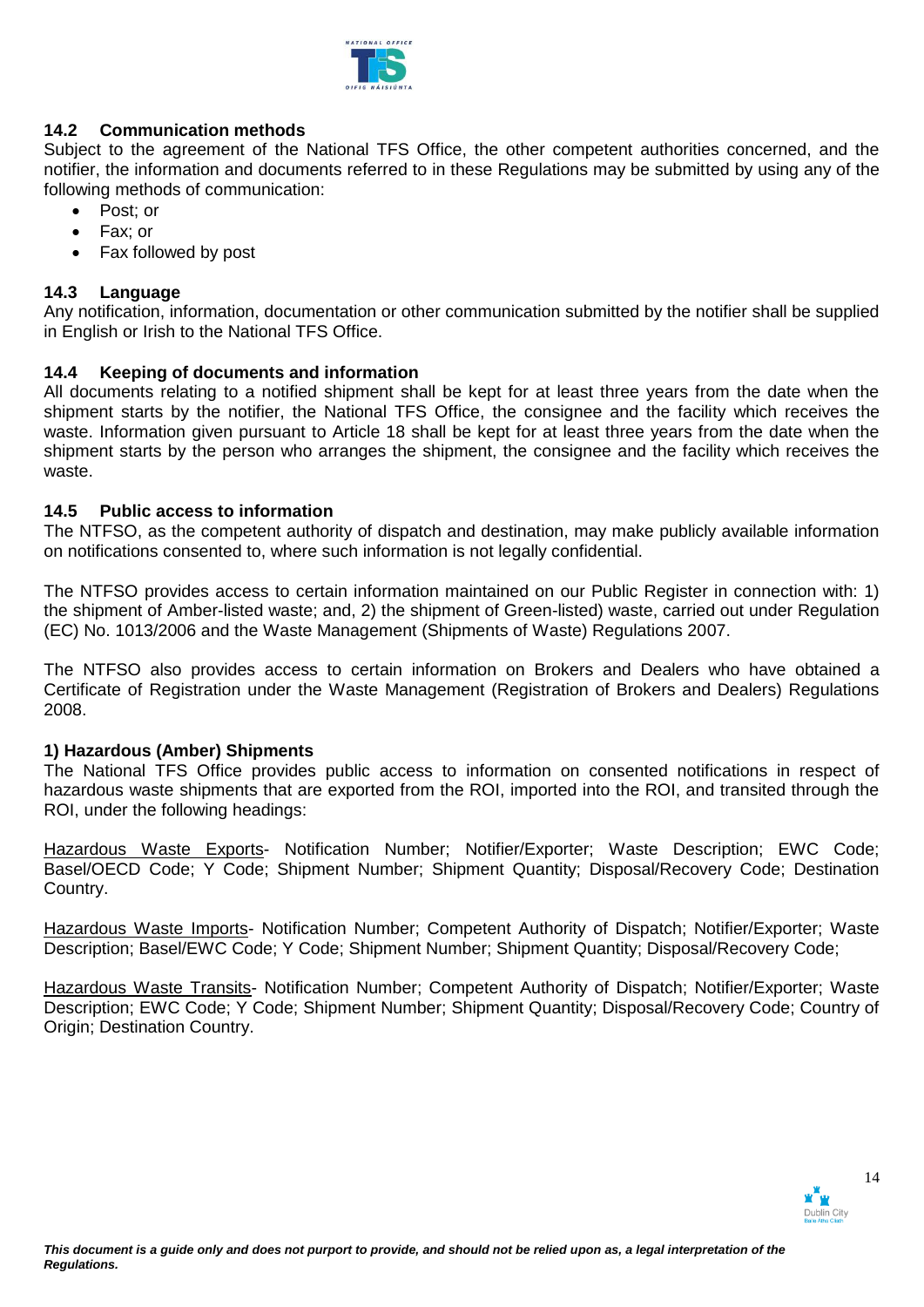

# **14.2 Communication methods**

Subject to the agreement of the National TFS Office, the other competent authorities concerned, and the notifier, the information and documents referred to in these Regulations may be submitted by using any of the following methods of communication:

- Post: or
- Fax: or
- Fax followed by post

## **14.3 Language**

Any notification, information, documentation or other communication submitted by the notifier shall be supplied in English or Irish to the National TFS Office.

## **14.4 Keeping of documents and information**

All documents relating to a notified shipment shall be kept for at least three years from the date when the shipment starts by the notifier, the National TFS Office, the consignee and the facility which receives the waste. Information given pursuant to Article 18 shall be kept for at least three years from the date when the shipment starts by the person who arranges the shipment, the consignee and the facility which receives the waste.

## **14.5 Public access to information**

The NTFSO, as the competent authority of dispatch and destination, may make publicly available information on notifications consented to, where such information is not legally confidential.

The NTFSO provides access to certain information maintained on our Public Register in connection with: 1) the shipment of Amber-listed waste; and, 2) the shipment of Green-listed) waste, carried out under Regulation (EC) No. 1013/2006 and the Waste Management (Shipments of Waste) Regulations 2007.

The NTFSO also provides access to certain information on Brokers and Dealers who have obtained a Certificate of Registration under the Waste Management (Registration of Brokers and Dealers) Regulations 2008.

## **1) Hazardous (Amber) Shipments**

The National TFS Office provides public access to information on consented notifications in respect of hazardous waste shipments that are exported from the ROI, imported into the ROI, and transited through the ROI, under the following headings:

Hazardous Waste Exports- Notification Number; Notifier/Exporter; Waste Description; EWC Code; Basel/OECD Code; Y Code; Shipment Number; Shipment Quantity; Disposal/Recovery Code; Destination Country.

Hazardous Waste Imports- Notification Number; Competent Authority of Dispatch; Notifier/Exporter; Waste Description; Basel/EWC Code; Y Code; Shipment Number; Shipment Quantity; Disposal/Recovery Code;

Hazardous Waste Transits- Notification Number; Competent Authority of Dispatch; Notifier/Exporter; Waste Description; EWC Code; Y Code; Shipment Number; Shipment Quantity; Disposal/Recovery Code; Country of Origin; Destination Country.

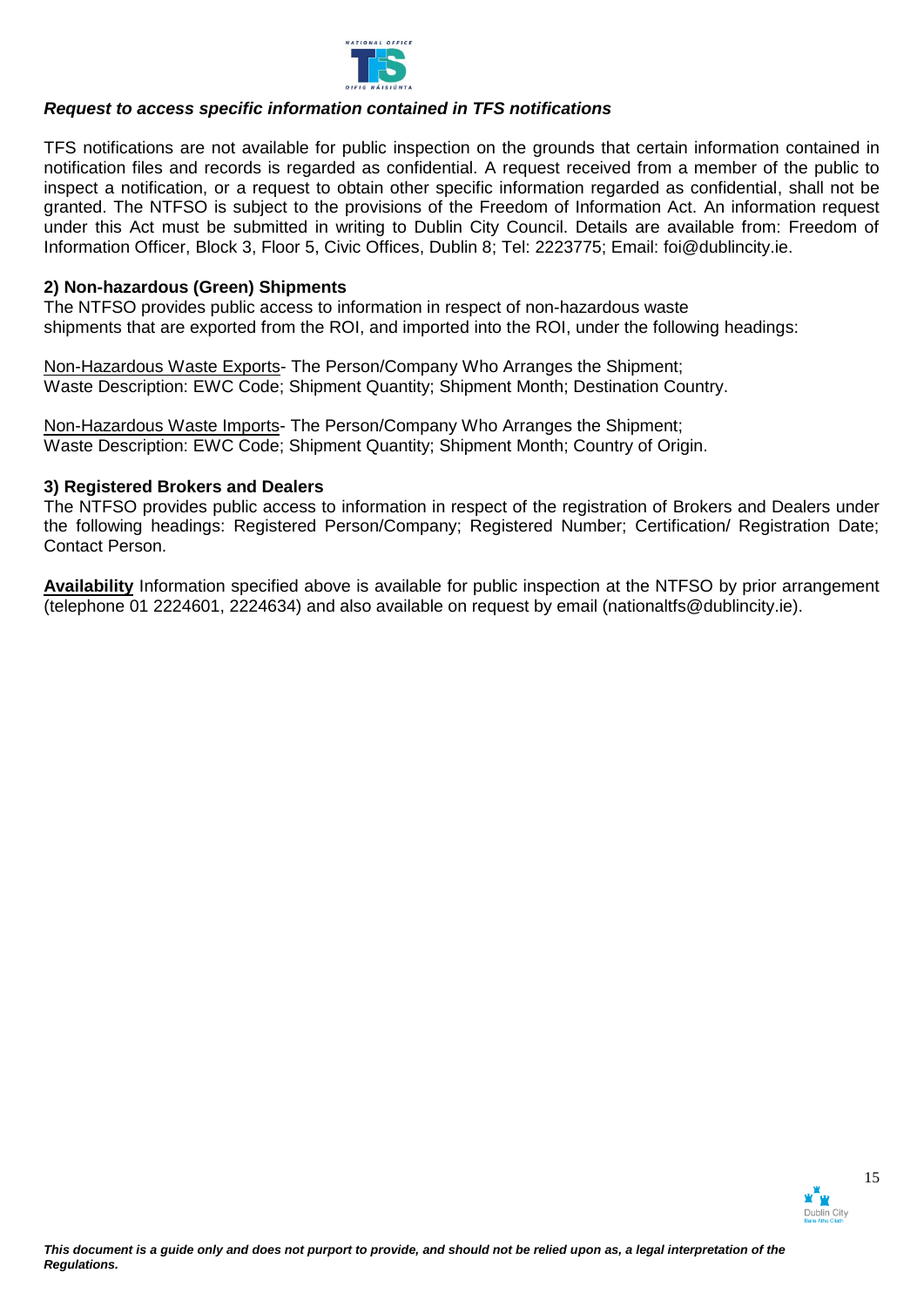

## *Request to access specific information contained in TFS notifications*

TFS notifications are not available for public inspection on the grounds that certain information contained in notification files and records is regarded as confidential. A request received from a member of the public to inspect a notification, or a request to obtain other specific information regarded as confidential, shall not be granted. The NTFSO is subject to the provisions of the Freedom of Information Act. An information request under this Act must be submitted in writing to Dublin City Council. Details are available from: Freedom of Information Officer, Block 3, Floor 5, Civic Offices, Dublin 8; Tel: 2223775; Email: foi@dublincity.ie.

## **2) Non-hazardous (Green) Shipments**

The NTFSO provides public access to information in respect of non-hazardous waste shipments that are exported from the ROI, and imported into the ROI, under the following headings:

Non-Hazardous Waste Exports- The Person/Company Who Arranges the Shipment; Waste Description: EWC Code; Shipment Quantity; Shipment Month; Destination Country.

Non-Hazardous Waste Imports- The Person/Company Who Arranges the Shipment; Waste Description: EWC Code; Shipment Quantity; Shipment Month; Country of Origin.

### **3) Registered Brokers and Dealers**

The NTFSO provides public access to information in respect of the registration of Brokers and Dealers under the following headings: Registered Person/Company; Registered Number; Certification/ Registration Date; Contact Person.

**Availability** Information specified above is available for public inspection at the NTFSO by prior arrangement (telephone 01 2224601, 2224634) and also available on request by email (nationaltfs@dublincity.ie).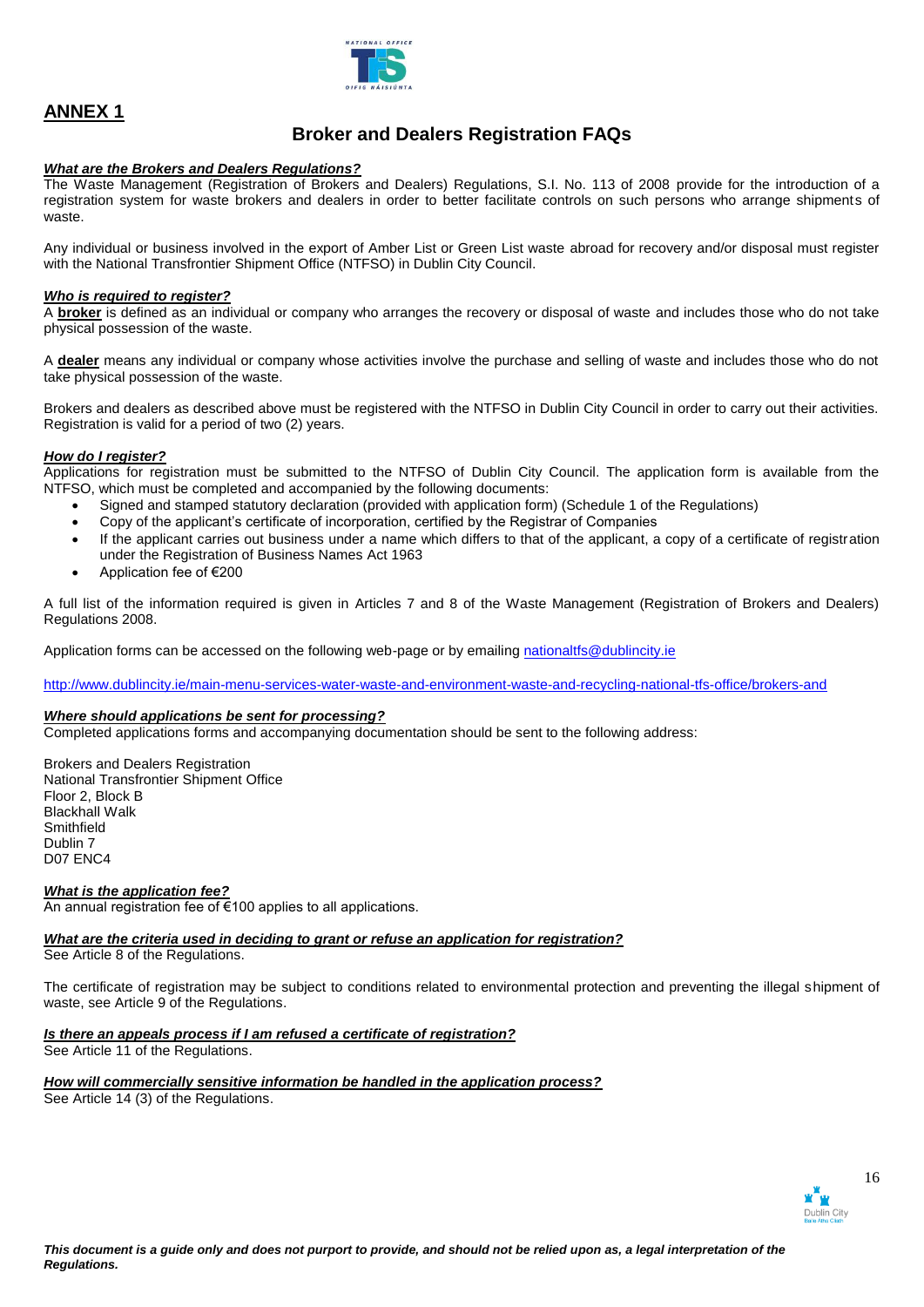

# **Broker and Dealers Registration FAQs**

### *What are the Brokers and Dealers Regulations?*

The Waste Management (Registration of Brokers and Dealers) Regulations, S.I. No. 113 of 2008 provide for the introduction of a registration system for waste brokers and dealers in order to better facilitate controls on such persons who arrange shipments of waste.

Any individual or business involved in the export of Amber List or Green List waste abroad for recovery and/or disposal must register with the National Transfrontier Shipment Office (NTFSO) in Dublin City Council.

#### *Who is required to register?*

A **broker** is defined as an individual or company who arranges the recovery or disposal of waste and includes those who do not take physical possession of the waste.

A **dealer** means any individual or company whose activities involve the purchase and selling of waste and includes those who do not take physical possession of the waste.

Brokers and dealers as described above must be registered with the NTFSO in Dublin City Council in order to carry out their activities. Registration is valid for a period of two (2) years.

### *How do I register?*

Applications for registration must be submitted to the NTFSO of Dublin City Council. The application form is available from the NTFSO, which must be completed and accompanied by the following documents:

- Signed and stamped statutory declaration (provided with application form) (Schedule 1 of the Regulations)
- Copy of the applicant's certificate of incorporation, certified by the Registrar of Companies
- If the applicant carries out business under a name which differs to that of the applicant, a copy of a certificate of registration under the Registration of Business Names Act 1963
- Application fee of €200

A full list of the information required is given in Articles 7 and 8 of the Waste Management (Registration of Brokers and Dealers) Regulations 2008.

Application forms can be accessed on the following web-page or by emailing nationaltfs@dublincity.ie

<http://www.dublincity.ie/main-menu-services-water-waste-and-environment-waste-and-recycling-national-tfs-office/brokers-and>

### *Where should applications be sent for processing?*

Completed applications forms and accompanying documentation should be sent to the following address:

Brokers and Dealers Registration National Transfrontier Shipment Office Floor 2, Block B Blackhall Walk **Smithfield** Dublin 7 D07 ENC4

*What is the application fee?*

An annual registration fee of €100 applies to all applications.

#### *What are the criteria used in deciding to grant or refuse an application for registration?*  See Article 8 of the Regulations.

The certificate of registration may be subject to conditions related to environmental protection and preventing the illegal shipment of waste, see Article 9 of the Regulations.

# *Is there an appeals process if I am refused a certificate of registration?*

See Article 11 of the Regulations.

# *How will commercially sensitive information be handled in the application process?*

See Article 14 (3) of the Regulations.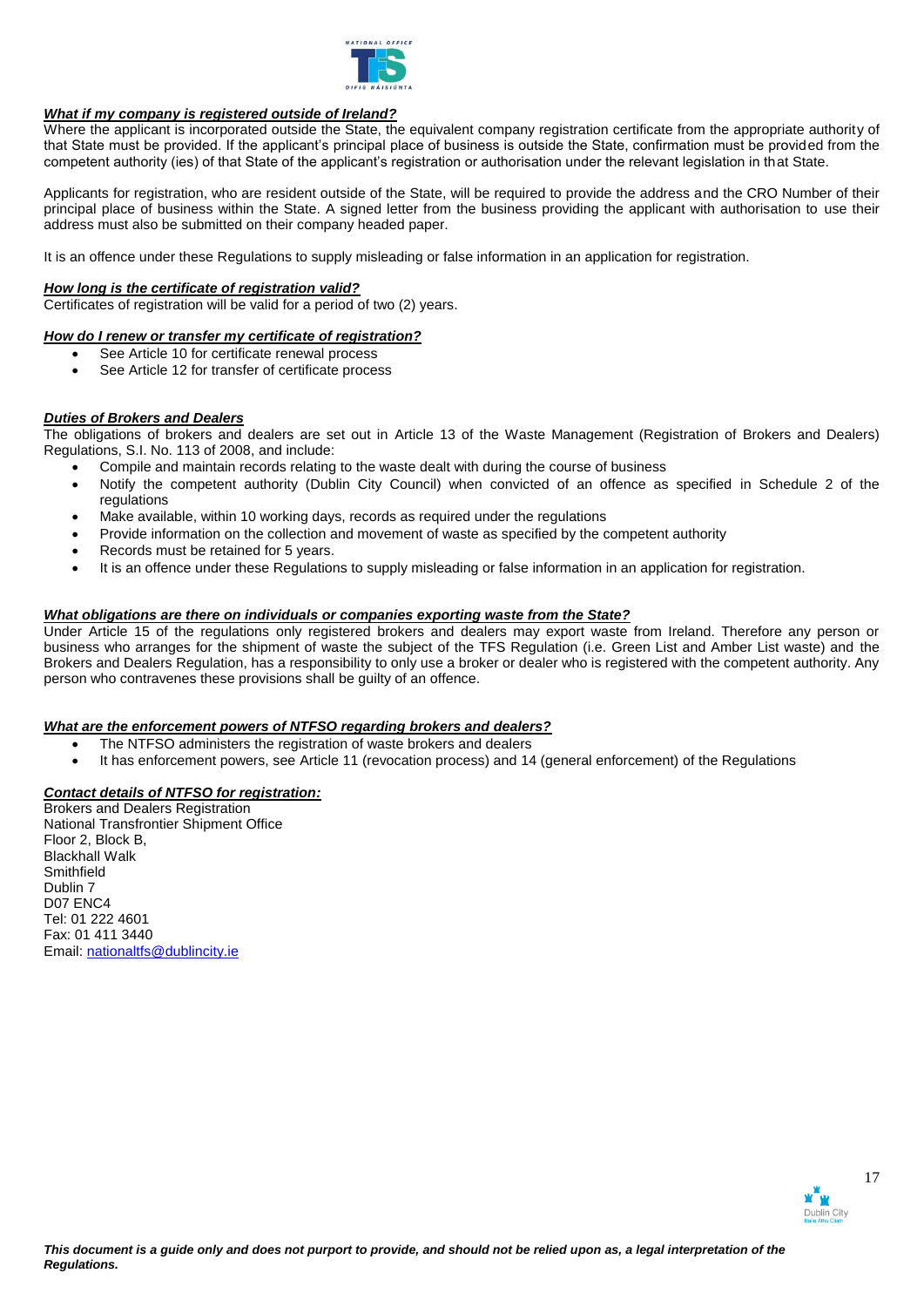

### *What if my company is registered outside of Ireland?*

Where the applicant is incorporated outside the State, the equivalent company registration certificate from the appropriate authority of that State must be provided. If the applicant's principal place of business is outside the State, confirmation must be provided from the competent authority (ies) of that State of the applicant's registration or authorisation under the relevant legislation in that State.

Applicants for registration, who are resident outside of the State, will be required to provide the address and the CRO Number of their principal place of business within the State. A signed letter from the business providing the applicant with authorisation to use their address must also be submitted on their company headed paper.

It is an offence under these Regulations to supply misleading or false information in an application for registration.

### *How long is the certificate of registration valid?*

Certificates of registration will be valid for a period of two (2) years.

#### *How do I renew or transfer my certificate of registration?*

- See Article 10 for certificate renewal process
- See Article 12 for transfer of certificate process

# *Duties of Brokers and Dealers*

The obligations of brokers and dealers are set out in Article 13 of the Waste Management (Registration of Brokers and Dealers) Regulations, S.I. No. 113 of 2008, and include:

- Compile and maintain records relating to the waste dealt with during the course of business
- Notify the competent authority (Dublin City Council) when convicted of an offence as specified in Schedule 2 of the regulations
- Make available, within 10 working days, records as required under the regulations
- Provide information on the collection and movement of waste as specified by the competent authority
- Records must be retained for 5 years.
- It is an offence under these Regulations to supply misleading or false information in an application for registration.

#### *What obligations are there on individuals or companies exporting waste from the State?*

Under Article 15 of the regulations only registered brokers and dealers may export waste from Ireland. Therefore any person or business who arranges for the shipment of waste the subject of the TFS Regulation (i.e. Green List and Amber List waste) and the Brokers and Dealers Regulation, has a responsibility to only use a broker or dealer who is registered with the competent authority. Any person who contravenes these provisions shall be guilty of an offence.

#### *What are the enforcement powers of NTFSO regarding brokers and dealers?*

- The NTFSO administers the registration of waste brokers and dealers
- It has enforcement powers, see Article 11 (revocation process) and 14 (general enforcement) of the Regulations

### *Contact details of NTFSO for registration:*

Brokers and Dealers Registration National Transfrontier Shipment Office Floor 2, Block B, Blackhall Walk **Smithfield** Dublin 7 D07 ENC4 Tel: 01 222 4601 Fax: 01 411 3440 Email: [nationaltfs@dublincity.ie](mailto:nationaltfs@dublincity.ie)

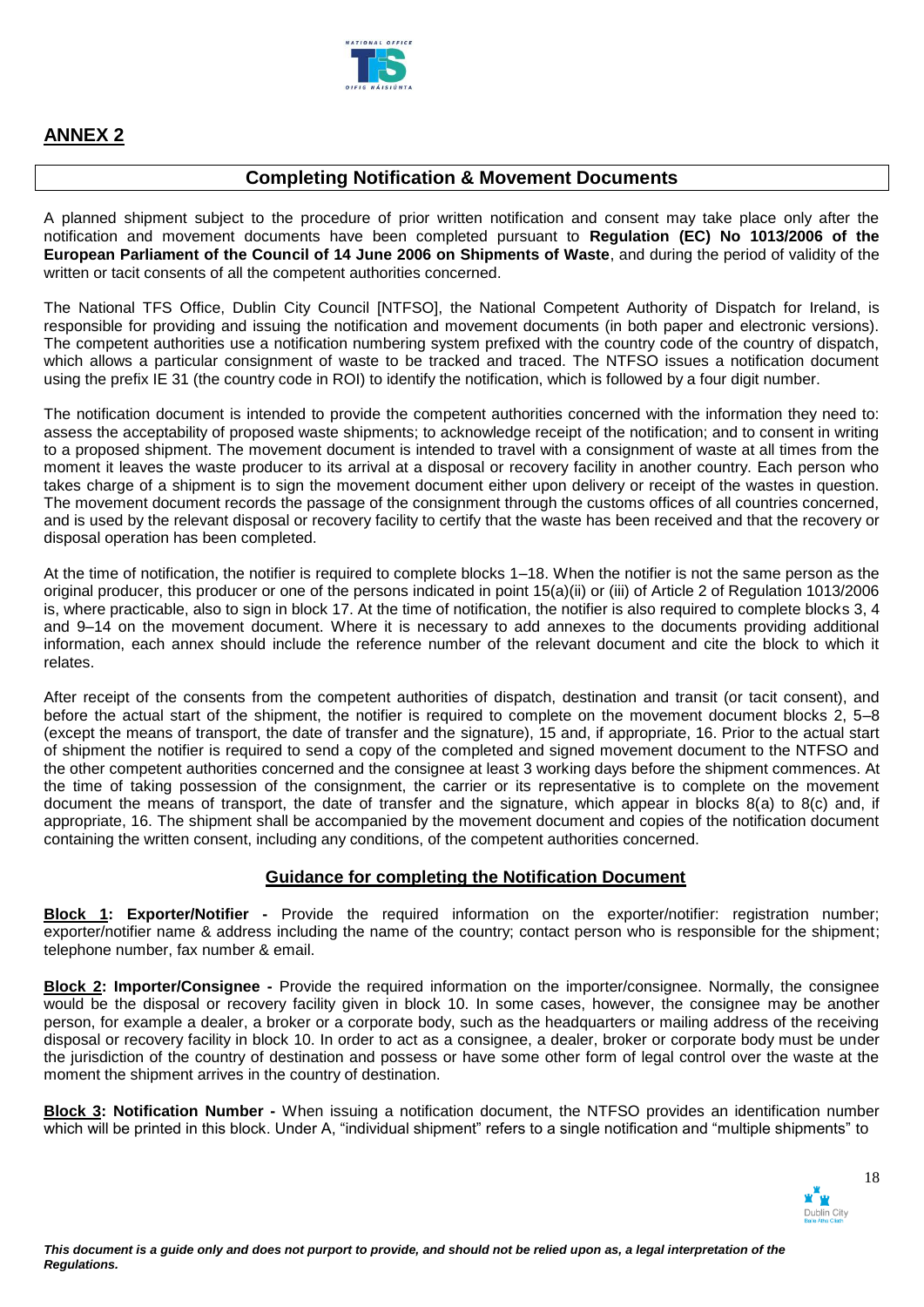

# **Completing Notification & Movement Documents**

A planned shipment subject to the procedure of prior written notification and consent may take place only after the notification and movement documents have been completed pursuant to **Regulation (EC) No 1013/2006 of the European Parliament of the Council of 14 June 2006 on Shipments of Waste**, and during the period of validity of the written or tacit consents of all the competent authorities concerned.

The National TFS Office, Dublin City Council [NTFSO], the National Competent Authority of Dispatch for Ireland, is responsible for providing and issuing the notification and movement documents (in both paper and electronic versions). The competent authorities use a notification numbering system prefixed with the country code of the country of dispatch, which allows a particular consignment of waste to be tracked and traced. The NTFSO issues a notification document using the prefix IE 31 (the country code in ROI) to identify the notification, which is followed by a four digit number.

The notification document is intended to provide the competent authorities concerned with the information they need to: assess the acceptability of proposed waste shipments; to acknowledge receipt of the notification; and to consent in writing to a proposed shipment. The movement document is intended to travel with a consignment of waste at all times from the moment it leaves the waste producer to its arrival at a disposal or recovery facility in another country. Each person who takes charge of a shipment is to sign the movement document either upon delivery or receipt of the wastes in question. The movement document records the passage of the consignment through the customs offices of all countries concerned, and is used by the relevant disposal or recovery facility to certify that the waste has been received and that the recovery or disposal operation has been completed.

At the time of notification, the notifier is required to complete blocks 1–18. When the notifier is not the same person as the original producer, this producer or one of the persons indicated in point 15(a)(ii) or (iii) of Article 2 of Regulation 1013/2006 is, where practicable, also to sign in block 17. At the time of notification, the notifier is also required to complete blocks 3, 4 and 9–14 on the movement document. Where it is necessary to add annexes to the documents providing additional information, each annex should include the reference number of the relevant document and cite the block to which it relates.

After receipt of the consents from the competent authorities of dispatch, destination and transit (or tacit consent), and before the actual start of the shipment, the notifier is required to complete on the movement document blocks 2, 5–8 (except the means of transport, the date of transfer and the signature), 15 and, if appropriate, 16. Prior to the actual start of shipment the notifier is required to send a copy of the completed and signed movement document to the NTFSO and the other competent authorities concerned and the consignee at least 3 working days before the shipment commences. At the time of taking possession of the consignment, the carrier or its representative is to complete on the movement document the means of transport, the date of transfer and the signature, which appear in blocks 8(a) to 8(c) and, if appropriate, 16. The shipment shall be accompanied by the movement document and copies of the notification document containing the written consent, including any conditions, of the competent authorities concerned.

# **Guidance for completing the Notification Document**

**Block 1: Exporter/Notifier -** Provide the required information on the exporter/notifier: registration number; exporter/notifier name & address including the name of the country; contact person who is responsible for the shipment; telephone number, fax number & email.

**Block 2: Importer/Consignee -** Provide the required information on the importer/consignee. Normally, the consignee would be the disposal or recovery facility given in block 10. In some cases, however, the consignee may be another person, for example a dealer, a broker or a corporate body, such as the headquarters or mailing address of the receiving disposal or recovery facility in block 10. In order to act as a consignee, a dealer, broker or corporate body must be under the jurisdiction of the country of destination and possess or have some other form of legal control over the waste at the moment the shipment arrives in the country of destination.

**Block 3: Notification Number -** When issuing a notification document, the NTFSO provides an identification number which will be printed in this block. Under A, "individual shipment" refers to a single notification and "multiple shipments" to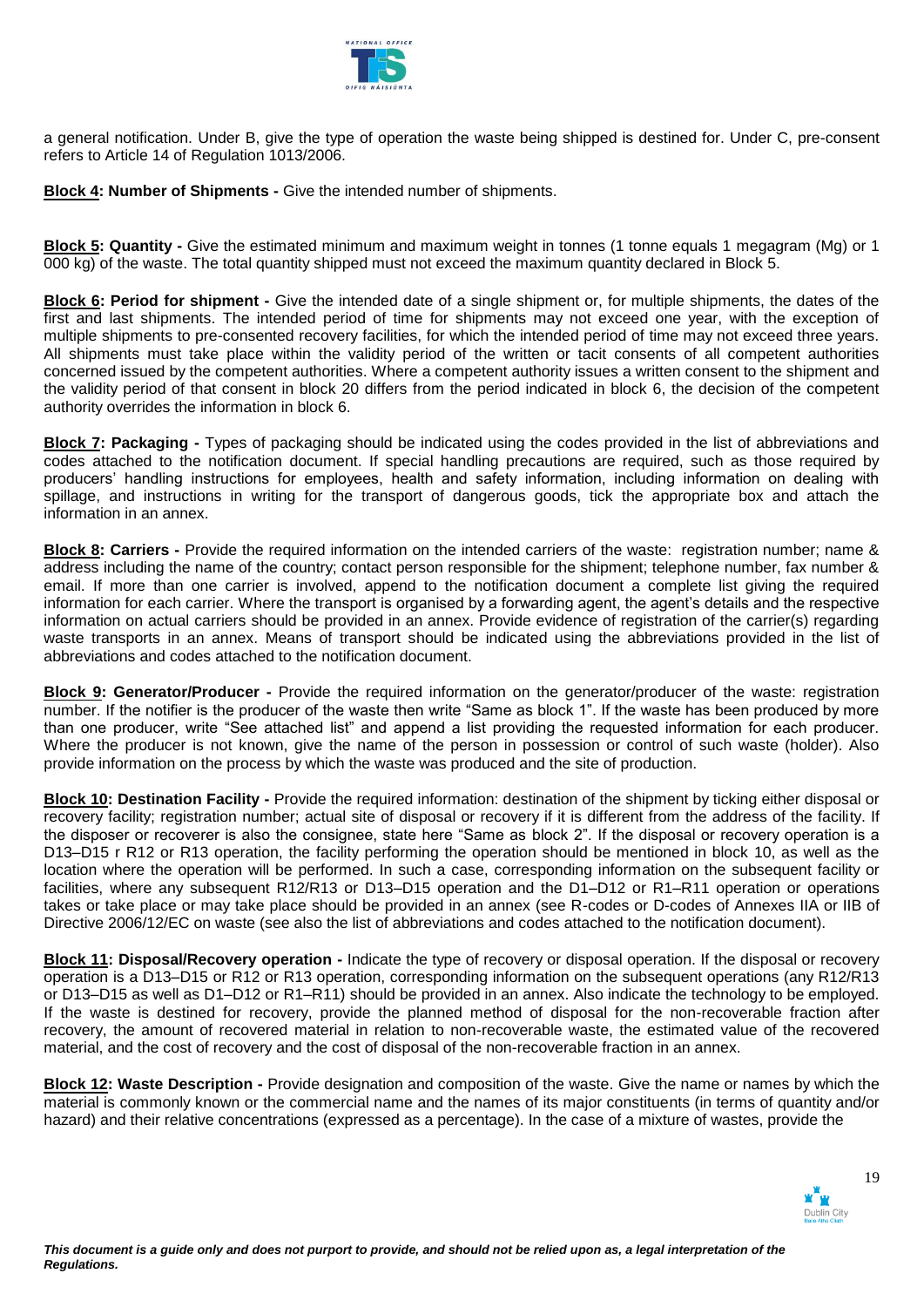

a general notification. Under B, give the type of operation the waste being shipped is destined for. Under C, pre-consent refers to Article 14 of Regulation 1013/2006.

**Block 4: Number of Shipments -** Give the intended number of shipments.

**Block 5: Quantity -** Give the estimated minimum and maximum weight in tonnes (1 tonne equals 1 megagram (Mg) or 1 000 kg) of the waste. The total quantity shipped must not exceed the maximum quantity declared in Block 5.

**Block 6: Period for shipment -** Give the intended date of a single shipment or, for multiple shipments, the dates of the first and last shipments. The intended period of time for shipments may not exceed one year, with the exception of multiple shipments to pre-consented recovery facilities, for which the intended period of time may not exceed three years. All shipments must take place within the validity period of the written or tacit consents of all competent authorities concerned issued by the competent authorities. Where a competent authority issues a written consent to the shipment and the validity period of that consent in block 20 differs from the period indicated in block 6, the decision of the competent authority overrides the information in block 6.

**Block 7: Packaging -** Types of packaging should be indicated using the codes provided in the list of abbreviations and codes attached to the notification document. If special handling precautions are required, such as those required by producers' handling instructions for employees, health and safety information, including information on dealing with spillage, and instructions in writing for the transport of dangerous goods, tick the appropriate box and attach the information in an annex.

**Block 8: Carriers -** Provide the required information on the intended carriers of the waste: registration number; name & address including the name of the country; contact person responsible for the shipment; telephone number, fax number & email. If more than one carrier is involved, append to the notification document a complete list giving the required information for each carrier. Where the transport is organised by a forwarding agent, the agent's details and the respective information on actual carriers should be provided in an annex. Provide evidence of registration of the carrier(s) regarding waste transports in an annex. Means of transport should be indicated using the abbreviations provided in the list of abbreviations and codes attached to the notification document.

**Block 9: Generator/Producer -** Provide the required information on the generator/producer of the waste: registration number. If the notifier is the producer of the waste then write "Same as block 1". If the waste has been produced by more than one producer, write "See attached list" and append a list providing the requested information for each producer. Where the producer is not known, give the name of the person in possession or control of such waste (holder). Also provide information on the process by which the waste was produced and the site of production.

**Block 10: Destination Facility -** Provide the required information: destination of the shipment by ticking either disposal or recovery facility; registration number; actual site of disposal or recovery if it is different from the address of the facility. If the disposer or recoverer is also the consignee, state here "Same as block 2". If the disposal or recovery operation is a D13–D15 r R12 or R13 operation, the facility performing the operation should be mentioned in block 10, as well as the location where the operation will be performed. In such a case, corresponding information on the subsequent facility or facilities, where any subsequent R12/R13 or D13–D15 operation and the D1–D12 or R1–R11 operation or operations takes or take place or may take place should be provided in an annex (see R-codes or D-codes of Annexes IIA or IIB of Directive 2006/12/EC on waste (see also the list of abbreviations and codes attached to the notification document).

**Block 11: Disposal/Recovery operation -** Indicate the type of recovery or disposal operation. If the disposal or recovery operation is a D13–D15 or R12 or R13 operation, corresponding information on the subsequent operations (any R12/R13 or D13–D15 as well as D1–D12 or R1–R11) should be provided in an annex. Also indicate the technology to be employed. If the waste is destined for recovery, provide the planned method of disposal for the non-recoverable fraction after recovery, the amount of recovered material in relation to non-recoverable waste, the estimated value of the recovered material, and the cost of recovery and the cost of disposal of the non-recoverable fraction in an annex.

**Block 12: Waste Description -** Provide designation and composition of the waste. Give the name or names by which the material is commonly known or the commercial name and the names of its major constituents (in terms of quantity and/or hazard) and their relative concentrations (expressed as a percentage). In the case of a mixture of wastes, provide the

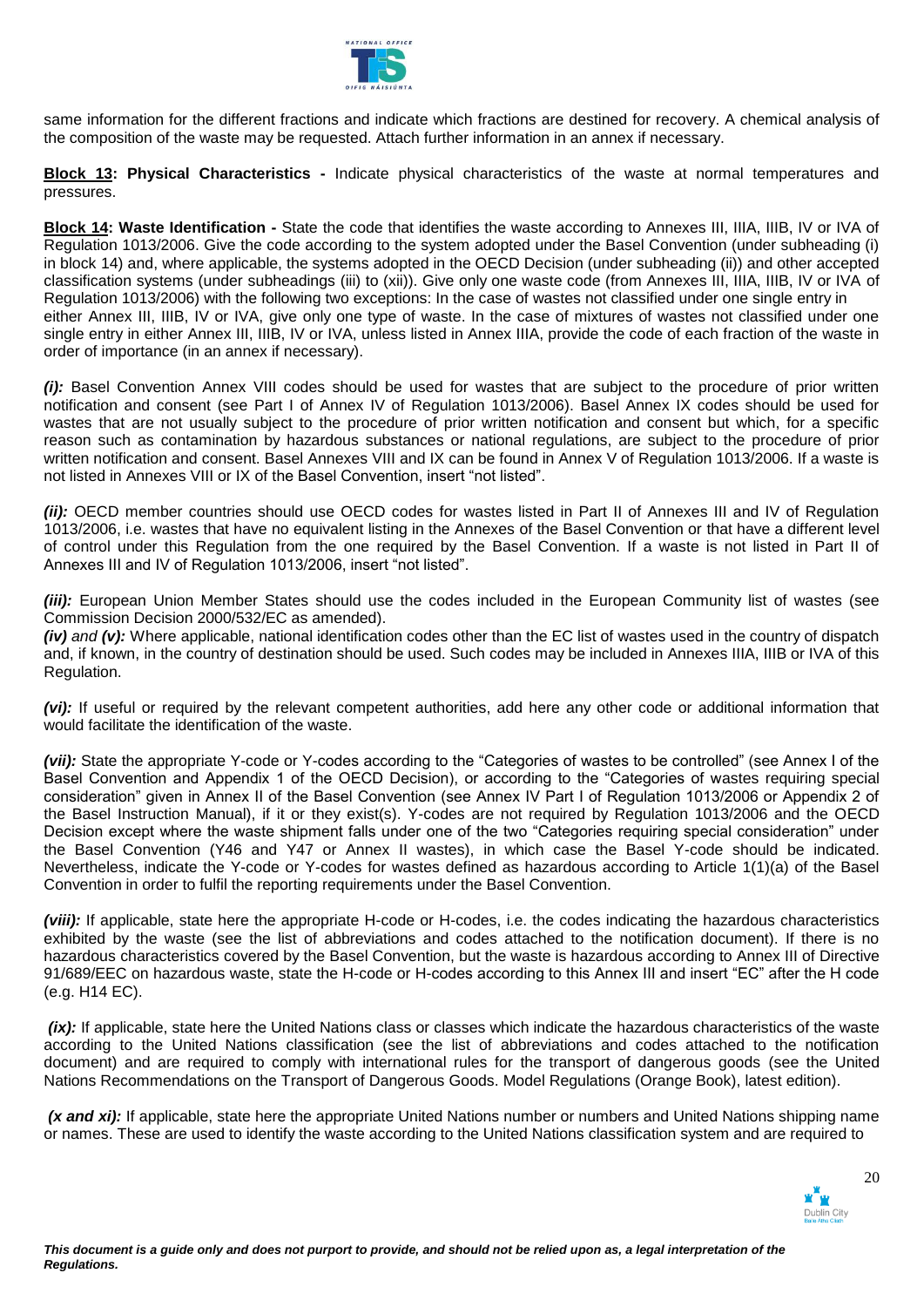

same information for the different fractions and indicate which fractions are destined for recovery. A chemical analysis of the composition of the waste may be requested. Attach further information in an annex if necessary.

**Block 13: Physical Characteristics -** Indicate physical characteristics of the waste at normal temperatures and pressures.

**Block 14: Waste Identification -** State the code that identifies the waste according to Annexes III, IIIA, IIIB, IV or IVA of Regulation 1013/2006. Give the code according to the system adopted under the Basel Convention (under subheading (i) in block 14) and, where applicable, the systems adopted in the OECD Decision (under subheading (ii)) and other accepted classification systems (under subheadings (iii) to (xii)). Give only one waste code (from Annexes III, IIIA, IIIB, IV or IVA of Regulation 1013/2006) with the following two exceptions: In the case of wastes not classified under one single entry in either Annex III, IIIB, IV or IVA, give only one type of waste. In the case of mixtures of wastes not classified under one single entry in either Annex III, IIIB, IV or IVA, unless listed in Annex IIIA, provide the code of each fraction of the waste in order of importance (in an annex if necessary).

*(i):* Basel Convention Annex VIII codes should be used for wastes that are subject to the procedure of prior written notification and consent (see Part I of Annex IV of Regulation 1013/2006). Basel Annex IX codes should be used for wastes that are not usually subject to the procedure of prior written notification and consent but which, for a specific reason such as contamination by hazardous substances or national regulations, are subject to the procedure of prior written notification and consent. Basel Annexes VIII and IX can be found in Annex V of Regulation 1013/2006. If a waste is not listed in Annexes VIII or IX of the Basel Convention, insert "not listed".

*(ii):* OECD member countries should use OECD codes for wastes listed in Part II of Annexes III and IV of Regulation 1013/2006, i.e. wastes that have no equivalent listing in the Annexes of the Basel Convention or that have a different level of control under this Regulation from the one required by the Basel Convention. If a waste is not listed in Part II of Annexes III and IV of Regulation 1013/2006, insert "not listed".

*(iii):* European Union Member States should use the codes included in the European Community list of wastes (see Commission Decision 2000/532/EC as amended).

*(iv) and (v):* Where applicable, national identification codes other than the EC list of wastes used in the country of dispatch and, if known, in the country of destination should be used. Such codes may be included in Annexes IIIA, IIIB or IVA of this Regulation.

*(vi):* If useful or required by the relevant competent authorities, add here any other code or additional information that would facilitate the identification of the waste.

*(vii):* State the appropriate Y-code or Y-codes according to the "Categories of wastes to be controlled" (see Annex I of the Basel Convention and Appendix 1 of the OECD Decision), or according to the "Categories of wastes requiring special consideration" given in Annex II of the Basel Convention (see Annex IV Part I of Regulation 1013/2006 or Appendix 2 of the Basel Instruction Manual), if it or they exist(s). Y-codes are not required by Regulation 1013/2006 and the OECD Decision except where the waste shipment falls under one of the two "Categories requiring special consideration" under the Basel Convention (Y46 and Y47 or Annex II wastes), in which case the Basel Y-code should be indicated. Nevertheless, indicate the Y-code or Y-codes for wastes defined as hazardous according to Article 1(1)(a) of the Basel Convention in order to fulfil the reporting requirements under the Basel Convention.

*(viii):* If applicable, state here the appropriate H-code or H-codes, i.e. the codes indicating the hazardous characteristics exhibited by the waste (see the list of abbreviations and codes attached to the notification document). If there is no hazardous characteristics covered by the Basel Convention, but the waste is hazardous according to Annex III of Directive 91/689/EEC on hazardous waste, state the H-code or H-codes according to this Annex III and insert "EC" after the H code (e.g. H14 EC).

*(ix):* If applicable, state here the United Nations class or classes which indicate the hazardous characteristics of the waste according to the United Nations classification (see the list of abbreviations and codes attached to the notification document) and are required to comply with international rules for the transport of dangerous goods (see the United Nations Recommendations on the Transport of Dangerous Goods. Model Regulations (Orange Book), latest edition).

*(x and xi):* If applicable, state here the appropriate United Nations number or numbers and United Nations shipping name or names. These are used to identify the waste according to the United Nations classification system and are required to

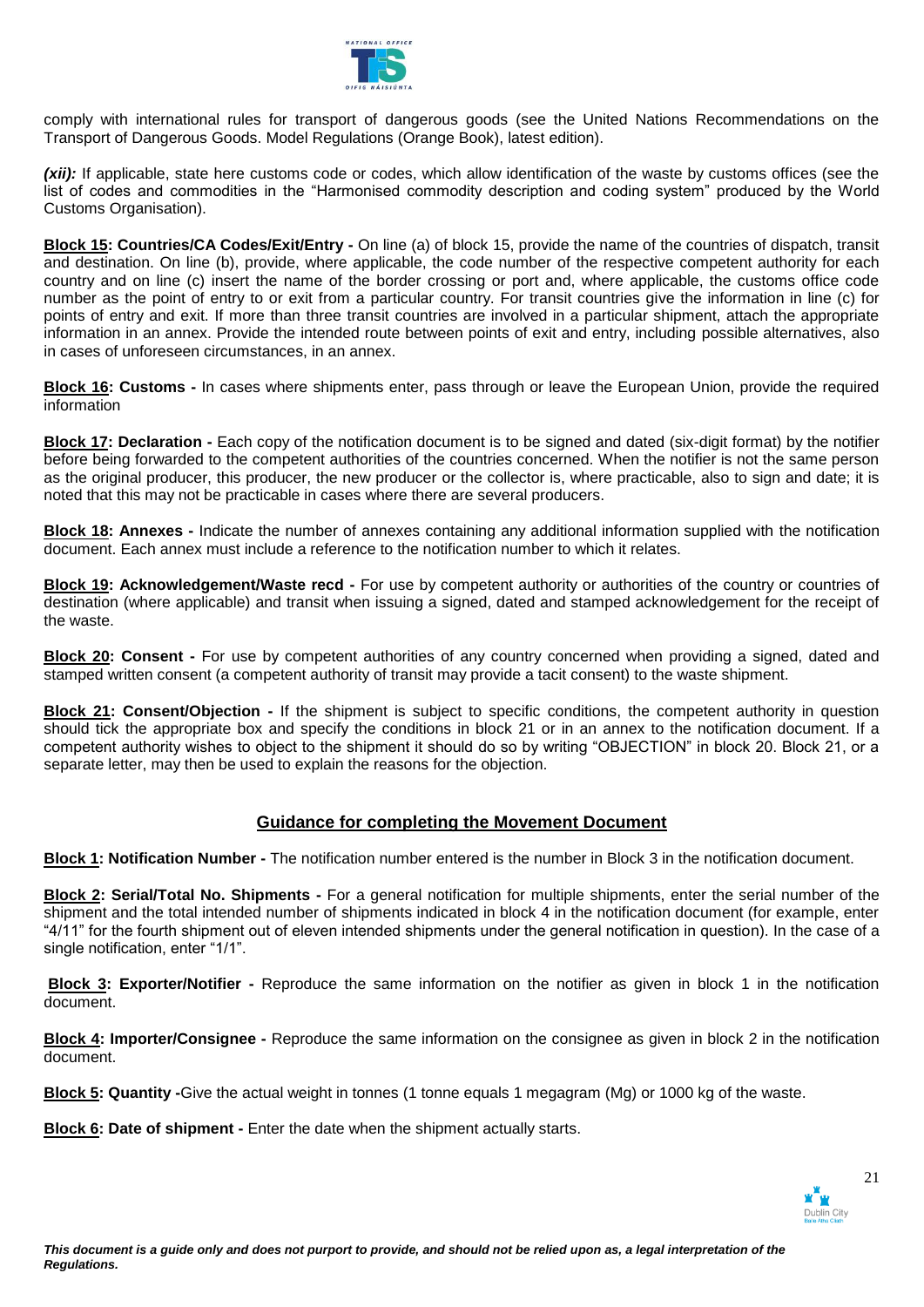

comply with international rules for transport of dangerous goods (see the United Nations Recommendations on the Transport of Dangerous Goods. Model Regulations (Orange Book), latest edition).

*(xii):* If applicable, state here customs code or codes, which allow identification of the waste by customs offices (see the list of codes and commodities in the "Harmonised commodity description and coding system" produced by the World Customs Organisation).

**Block 15: Countries/CA Codes/Exit/Entry -** On line (a) of block 15, provide the name of the countries of dispatch, transit and destination. On line (b), provide, where applicable, the code number of the respective competent authority for each country and on line (c) insert the name of the border crossing or port and, where applicable, the customs office code number as the point of entry to or exit from a particular country. For transit countries give the information in line (c) for points of entry and exit. If more than three transit countries are involved in a particular shipment, attach the appropriate information in an annex. Provide the intended route between points of exit and entry, including possible alternatives, also in cases of unforeseen circumstances, in an annex.

**Block 16: Customs -** In cases where shipments enter, pass through or leave the European Union, provide the required information

**Block 17: Declaration -** Each copy of the notification document is to be signed and dated (six-digit format) by the notifier before being forwarded to the competent authorities of the countries concerned. When the notifier is not the same person as the original producer, this producer, the new producer or the collector is, where practicable, also to sign and date; it is noted that this may not be practicable in cases where there are several producers.

**Block 18: Annexes -** Indicate the number of annexes containing any additional information supplied with the notification document. Each annex must include a reference to the notification number to which it relates.

**Block 19: Acknowledgement/Waste recd -** For use by competent authority or authorities of the country or countries of destination (where applicable) and transit when issuing a signed, dated and stamped acknowledgement for the receipt of the waste.

**Block 20: Consent -** For use by competent authorities of any country concerned when providing a signed, dated and stamped written consent (a competent authority of transit may provide a tacit consent) to the waste shipment.

**Block 21: Consent/Objection -** If the shipment is subject to specific conditions, the competent authority in question should tick the appropriate box and specify the conditions in block 21 or in an annex to the notification document. If a competent authority wishes to object to the shipment it should do so by writing "OBJECTION" in block 20. Block 21, or a separate letter, may then be used to explain the reasons for the objection.

# **Guidance for completing the Movement Document**

**Block 1: Notification Number -** The notification number entered is the number in Block 3 in the notification document.

**Block 2: Serial/Total No. Shipments -** For a general notification for multiple shipments, enter the serial number of the shipment and the total intended number of shipments indicated in block 4 in the notification document (for example, enter "4/11" for the fourth shipment out of eleven intended shipments under the general notification in question). In the case of a single notification, enter "1/1".

**Block 3: Exporter/Notifier -** Reproduce the same information on the notifier as given in block 1 in the notification document.

**Block 4: Importer/Consignee -** Reproduce the same information on the consignee as given in block 2 in the notification document.

**Block 5: Quantity -**Give the actual weight in tonnes (1 tonne equals 1 megagram (Mg) or 1000 kg of the waste.

**Block 6: Date of shipment -** Enter the date when the shipment actually starts.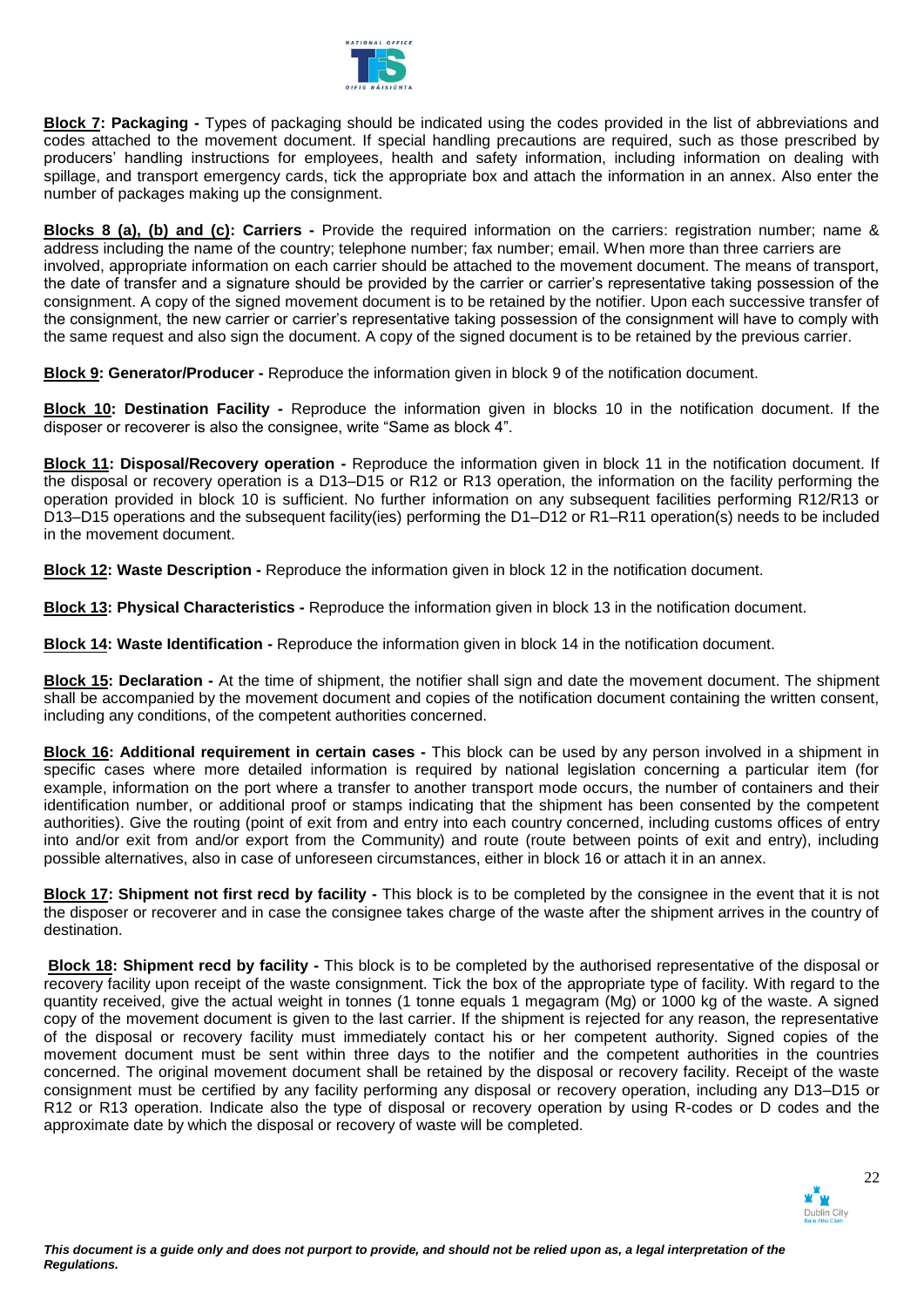

**Block 7: Packaging -** Types of packaging should be indicated using the codes provided in the list of abbreviations and codes attached to the movement document. If special handling precautions are required, such as those prescribed by producers' handling instructions for employees, health and safety information, including information on dealing with spillage, and transport emergency cards, tick the appropriate box and attach the information in an annex. Also enter the number of packages making up the consignment.

**Blocks 8 (a), (b) and (c): Carriers -** Provide the required information on the carriers: registration number; name & address including the name of the country; telephone number; fax number; email. When more than three carriers are involved, appropriate information on each carrier should be attached to the movement document. The means of transport, the date of transfer and a signature should be provided by the carrier or carrier's representative taking possession of the consignment. A copy of the signed movement document is to be retained by the notifier. Upon each successive transfer of the consignment, the new carrier or carrier's representative taking possession of the consignment will have to comply with the same request and also sign the document. A copy of the signed document is to be retained by the previous carrier.

**Block 9: Generator/Producer -** Reproduce the information given in block 9 of the notification document.

**Block 10: Destination Facility -** Reproduce the information given in blocks 10 in the notification document. If the disposer or recoverer is also the consignee, write "Same as block 4".

**Block 11: Disposal/Recovery operation -** Reproduce the information given in block 11 in the notification document. If the disposal or recovery operation is a D13–D15 or R12 or R13 operation, the information on the facility performing the operation provided in block 10 is sufficient. No further information on any subsequent facilities performing R12/R13 or D13–D15 operations and the subsequent facility(ies) performing the D1–D12 or R1–R11 operation(s) needs to be included in the movement document.

**Block 12: Waste Description -** Reproduce the information given in block 12 in the notification document.

**Block 13: Physical Characteristics -** Reproduce the information given in block 13 in the notification document.

**Block 14: Waste Identification -** Reproduce the information given in block 14 in the notification document.

**Block 15: Declaration -** At the time of shipment, the notifier shall sign and date the movement document. The shipment shall be accompanied by the movement document and copies of the notification document containing the written consent, including any conditions, of the competent authorities concerned.

**Block 16: Additional requirement in certain cases -** This block can be used by any person involved in a shipment in specific cases where more detailed information is required by national legislation concerning a particular item (for example, information on the port where a transfer to another transport mode occurs, the number of containers and their identification number, or additional proof or stamps indicating that the shipment has been consented by the competent authorities). Give the routing (point of exit from and entry into each country concerned, including customs offices of entry into and/or exit from and/or export from the Community) and route (route between points of exit and entry), including possible alternatives, also in case of unforeseen circumstances, either in block 16 or attach it in an annex.

**Block 17: Shipment not first recd by facility -** This block is to be completed by the consignee in the event that it is not the disposer or recoverer and in case the consignee takes charge of the waste after the shipment arrives in the country of destination.

**Block 18: Shipment recd by facility -** This block is to be completed by the authorised representative of the disposal or recovery facility upon receipt of the waste consignment. Tick the box of the appropriate type of facility. With regard to the quantity received, give the actual weight in tonnes (1 tonne equals 1 megagram (Mg) or 1000 kg of the waste. A signed copy of the movement document is given to the last carrier. If the shipment is rejected for any reason, the representative of the disposal or recovery facility must immediately contact his or her competent authority. Signed copies of the movement document must be sent within three days to the notifier and the competent authorities in the countries concerned. The original movement document shall be retained by the disposal or recovery facility. Receipt of the waste consignment must be certified by any facility performing any disposal or recovery operation, including any D13–D15 or R12 or R13 operation. Indicate also the type of disposal or recovery operation by using R-codes or D codes and the approximate date by which the disposal or recovery of waste will be completed.

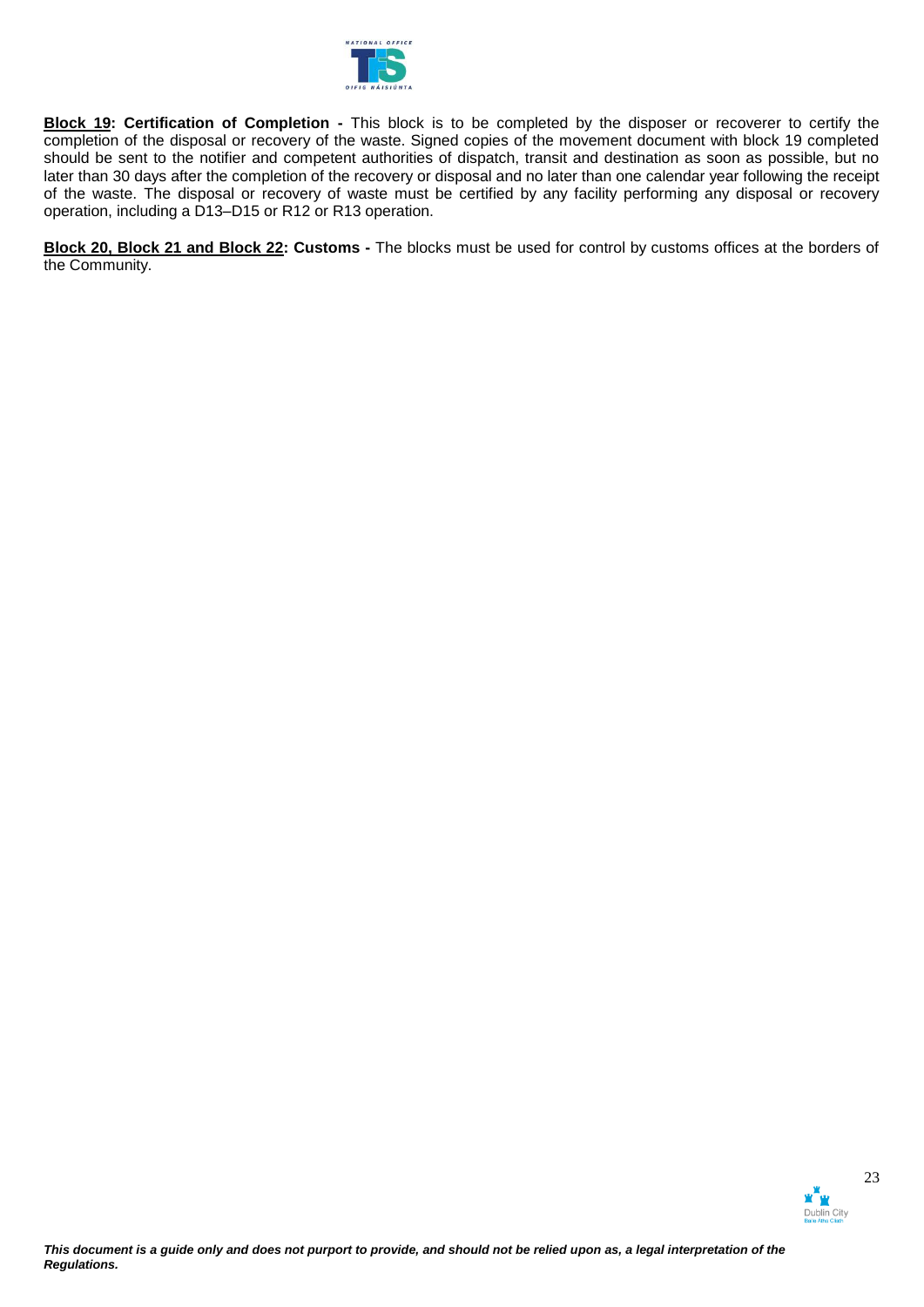

**Block 19: Certification of Completion -** This block is to be completed by the disposer or recoverer to certify the completion of the disposal or recovery of the waste. Signed copies of the movement document with block 19 completed should be sent to the notifier and competent authorities of dispatch, transit and destination as soon as possible, but no later than 30 days after the completion of the recovery or disposal and no later than one calendar year following the receipt of the waste. The disposal or recovery of waste must be certified by any facility performing any disposal or recovery operation, including a D13–D15 or R12 or R13 operation.

**Block 20, Block 21 and Block 22: Customs -** The blocks must be used for control by customs offices at the borders of the Community.

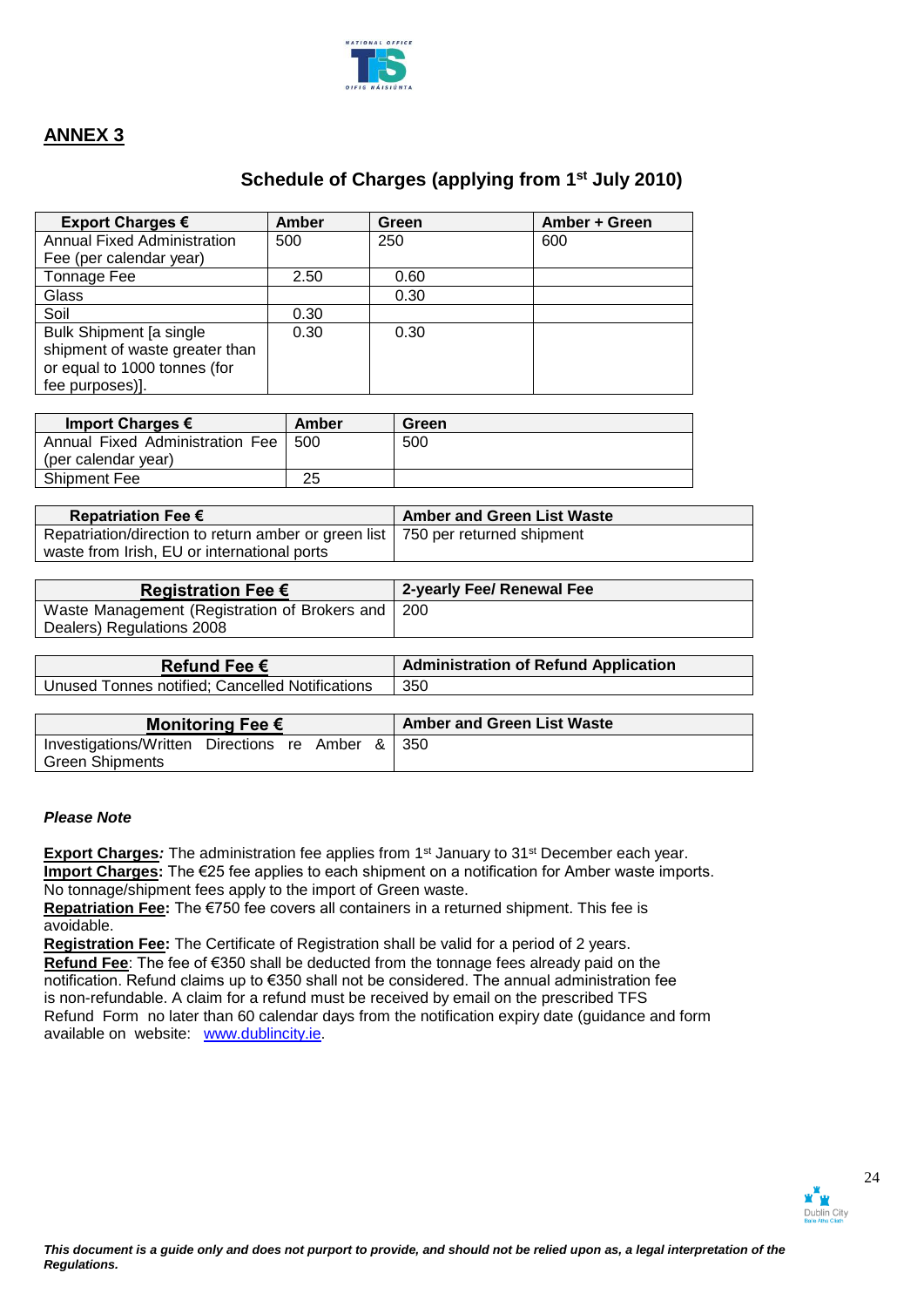

# **Schedule of Charges (applying from 1st July 2010)**

| Export Charges €                   | Amber | Green | Amber + Green |
|------------------------------------|-------|-------|---------------|
| <b>Annual Fixed Administration</b> | 500   | 250   | 600           |
| Fee (per calendar year)            |       |       |               |
| Tonnage Fee                        | 2.50  | 0.60  |               |
| Glass                              |       | 0.30  |               |
| Soil                               | 0.30  |       |               |
| <b>Bulk Shipment [a single</b>     | 0.30  | 0.30  |               |
| shipment of waste greater than     |       |       |               |
| or equal to 1000 tonnes (for       |       |       |               |
| fee purposes)].                    |       |       |               |

| Import Charges $\epsilon$       | Amber | Green |
|---------------------------------|-------|-------|
| Annual Fixed Administration Fee | 500   | 500   |
| (per calendar year)             |       |       |
| <b>Shipment Fee</b>             | 25    |       |

| Repatriation Fee $\epsilon$                                                      | <b>Amber and Green List Waste</b> |
|----------------------------------------------------------------------------------|-----------------------------------|
| Repatriation/direction to return amber or green list   750 per returned shipment |                                   |
| waste from Irish, EU or international ports                                      |                                   |

| Registration Fee $\epsilon$                         | 2-yearly Fee/ Renewal Fee |
|-----------------------------------------------------|---------------------------|
| Waste Management (Registration of Brokers and   200 |                           |
| Dealers) Regulations 2008                           |                           |

| Refund Fee $\epsilon$                           | <b>Administration of Refund Application</b> |
|-------------------------------------------------|---------------------------------------------|
| Unused Tonnes notified; Cancelled Notifications | 350                                         |

| Monitoring Fee €                                 |  |  |  |  | Amber and Green List Waste |  |  |
|--------------------------------------------------|--|--|--|--|----------------------------|--|--|
| Investigations/Written Directions re Amber & 350 |  |  |  |  |                            |  |  |
| <b>Green Shipments</b>                           |  |  |  |  |                            |  |  |

### *Please Note*

**Export Charges**: The administration fee applies from 1<sup>st</sup> January to 31<sup>st</sup> December each year. **Import Charges:** The €25 fee applies to each shipment on a notification for Amber waste imports. No tonnage/shipment fees apply to the import of Green waste.

**Repatriation Fee:** The €750 fee covers all containers in a returned shipment. This fee is avoidable.

**Registration Fee:** The Certificate of Registration shall be valid for a period of 2 years.  **Refund Fee**: The fee of €350 shall be deducted from the tonnage fees already paid on the notification. Refund claims up to €350 shall not be considered. The annual administration fee is non-refundable. A claim for a refund must be received by email on the prescribed TFS Refund Form no later than 60 calendar days from the notification expiry date (guidance and form available on website: [www.dublincity.ie.](http://www.dublincity.ie/)

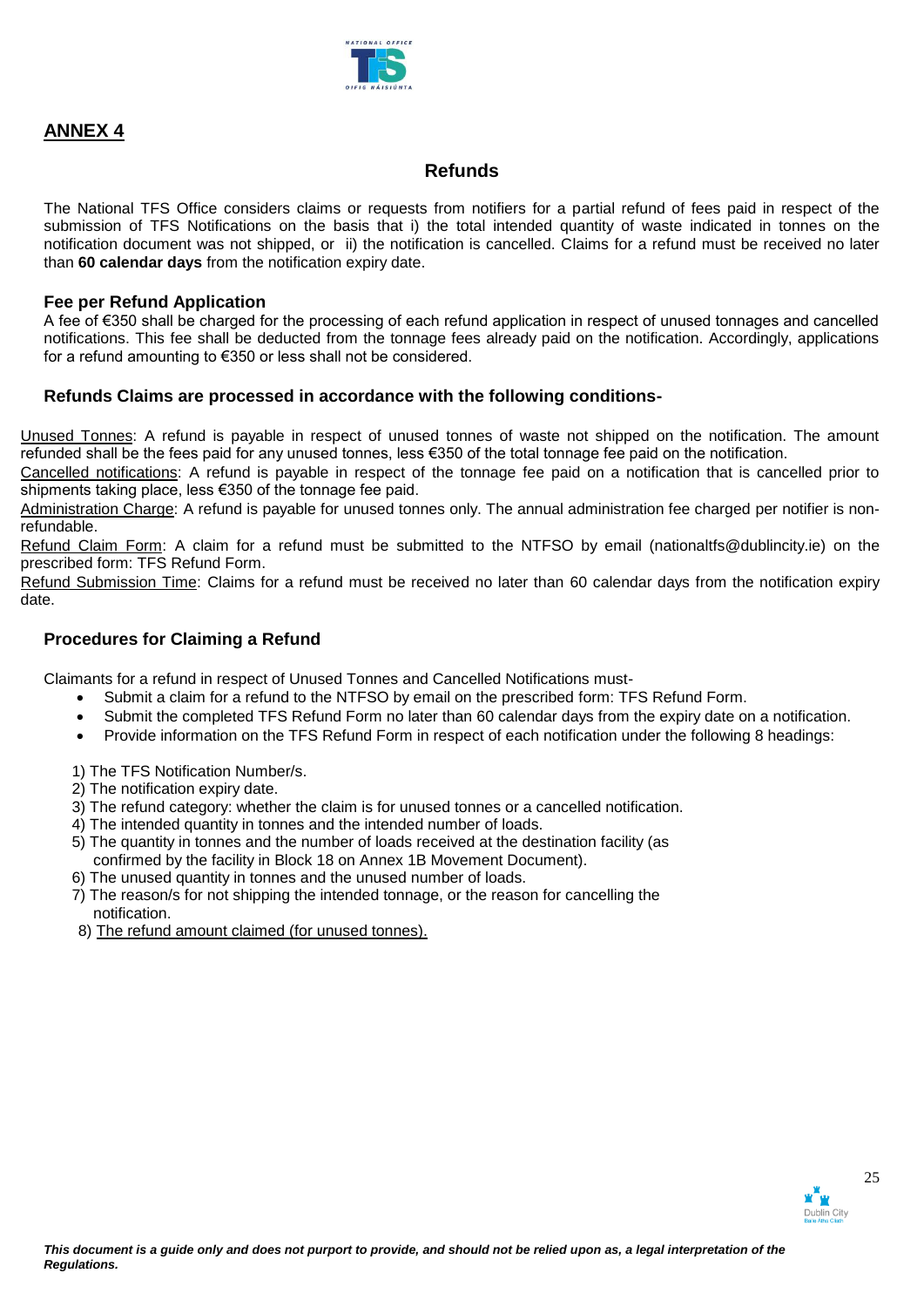

# **Refunds**

The National TFS Office considers claims or requests from notifiers for a partial refund of fees paid in respect of the submission of TFS Notifications on the basis that i) the total intended quantity of waste indicated in tonnes on the notification document was not shipped, or ii) the notification is cancelled. Claims for a refund must be received no later than **60 calendar days** from the notification expiry date.

### **Fee per Refund Application**

A fee of €350 shall be charged for the processing of each refund application in respect of unused tonnages and cancelled notifications. This fee shall be deducted from the tonnage fees already paid on the notification. Accordingly, applications for a refund amounting to €350 or less shall not be considered.

### **Refunds Claims are processed in accordance with the following conditions-**

 Unused Tonnes: A refund is payable in respect of unused tonnes of waste not shipped on the notification. The amount refunded shall be the fees paid for any unused tonnes, less €350 of the total tonnage fee paid on the notification.

 Cancelled notifications: A refund is payable in respect of the tonnage fee paid on a notification that is cancelled prior to shipments taking place, less €350 of the tonnage fee paid.

 Administration Charge: A refund is payable for unused tonnes only. The annual administration fee charged per notifier is nonrefundable.

 Refund Claim Form: A claim for a refund must be submitted to the NTFSO by email (nationaltfs@dublincity.ie) on the prescribed form: TFS Refund Form.

Refund Submission Time: Claims for a refund must be received no later than 60 calendar days from the notification expiry date.

## **Procedures for Claiming a Refund**

Claimants for a refund in respect of Unused Tonnes and Cancelled Notifications must-

- Submit a claim for a refund to the NTFSO by email on the prescribed form: TFS Refund Form.
- Submit the completed TFS Refund Form no later than 60 calendar days from the expiry date on a notification.
- Provide information on the TFS Refund Form in respect of each notification under the following 8 headings:

1) The TFS Notification Number/s.

- 2) The notification expiry date.
- 3) The refund category: whether the claim is for unused tonnes or a cancelled notification.
- 4) The intended quantity in tonnes and the intended number of loads.
- 5) The quantity in tonnes and the number of loads received at the destination facility (as confirmed by the facility in Block 18 on Annex 1B Movement Document).
- 6) The unused quantity in tonnes and the unused number of loads.
- 7) The reason/s for not shipping the intended tonnage, or the reason for cancelling the notification.
- 8) The refund amount claimed (for unused tonnes).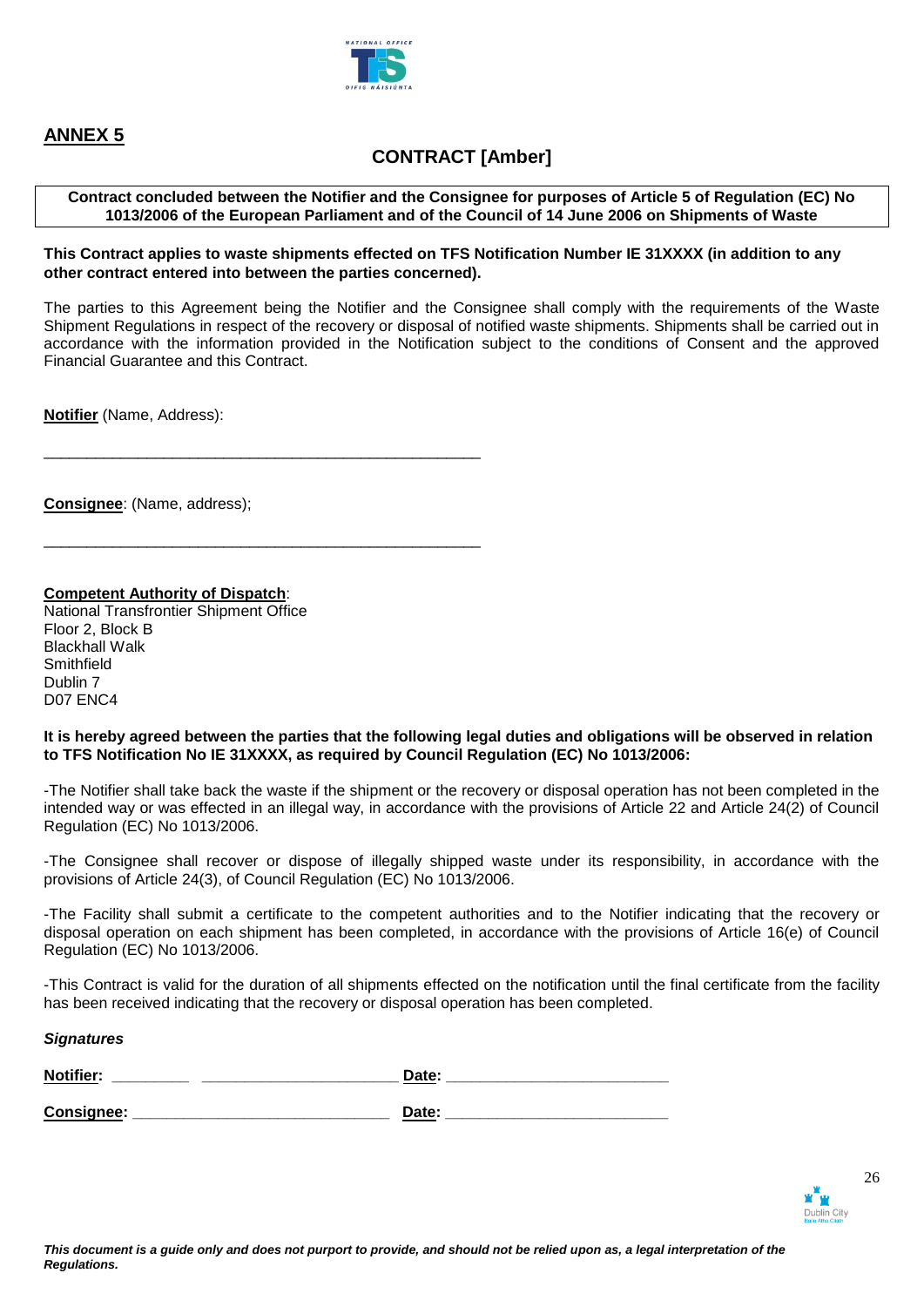

# **CONTRACT [Amber]**

### **Contract concluded between the Notifier and the Consignee for purposes of Article 5 of Regulation (EC) No 1013/2006 of the European Parliament and of the Council of 14 June 2006 on Shipments of Waste**

### **This Contract applies to waste shipments effected on TFS Notification Number IE 31XXXX (in addition to any other contract entered into between the parties concerned).**

The parties to this Agreement being the Notifier and the Consignee shall comply with the requirements of the Waste Shipment Regulations in respect of the recovery or disposal of notified waste shipments. Shipments shall be carried out in accordance with the information provided in the Notification subject to the conditions of Consent and the approved Financial Guarantee and this Contract.

**Notifier** (Name, Address):

**Consignee**: (Name, address);

### **Competent Authority of Dispatch**:

\_\_\_\_\_\_\_\_\_\_\_\_\_\_\_\_\_\_\_\_\_\_\_\_\_\_\_\_\_\_\_\_\_\_\_\_\_\_\_\_\_\_\_\_\_\_\_\_\_\_\_

\_\_\_\_\_\_\_\_\_\_\_\_\_\_\_\_\_\_\_\_\_\_\_\_\_\_\_\_\_\_\_\_\_\_\_\_\_\_\_\_\_\_\_\_\_\_\_\_\_\_\_

National Transfrontier Shipment Office Floor 2, Block B Blackhall Walk **Smithfield** Dublin 7 D07 ENC4

### **It is hereby agreed between the parties that the following legal duties and obligations will be observed in relation to TFS Notification No IE 31XXXX, as required by Council Regulation (EC) No 1013/2006:**

-The Notifier shall take back the waste if the shipment or the recovery or disposal operation has not been completed in the intended way or was effected in an illegal way, in accordance with the provisions of Article 22 and Article 24(2) of Council Regulation (EC) No 1013/2006.

-The Consignee shall recover or dispose of illegally shipped waste under its responsibility, in accordance with the provisions of Article 24(3), of Council Regulation (EC) No 1013/2006.

-The Facility shall submit a certificate to the competent authorities and to the Notifier indicating that the recovery or disposal operation on each shipment has been completed, in accordance with the provisions of Article 16(e) of Council Regulation (EC) No 1013/2006.

-This Contract is valid for the duration of all shipments effected on the notification until the final certificate from the facility has been received indicating that the recovery or disposal operation has been completed.

### *Signatures*

| <b>Notifi</b> |  | -- |  |
|---------------|--|----|--|
|               |  |    |  |

Consignee: **Example 20** Date:

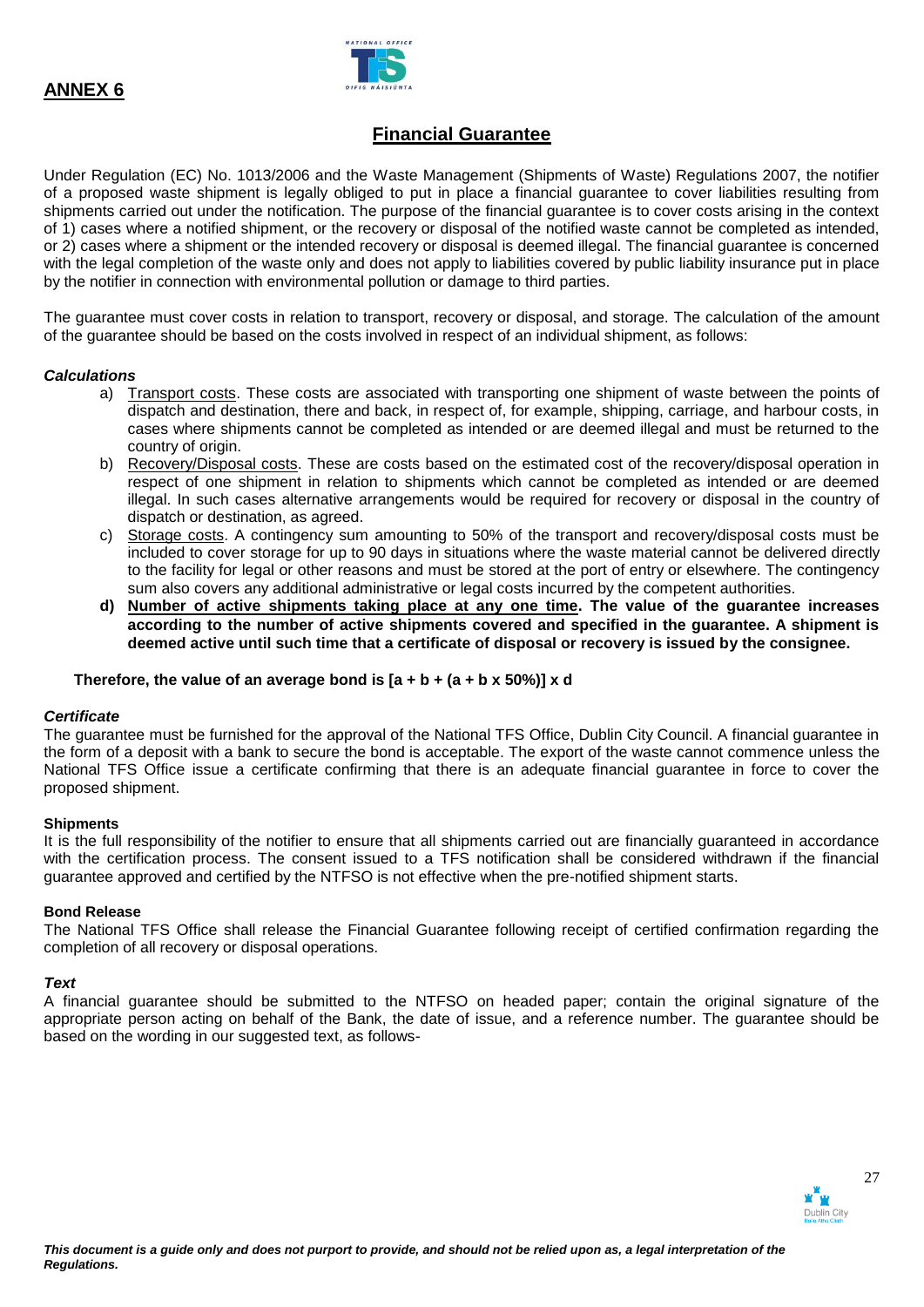

# **Financial Guarantee**

Under Regulation (EC) No. 1013/2006 and the Waste Management (Shipments of Waste) Regulations 2007, the notifier of a proposed waste shipment is legally obliged to put in place a financial guarantee to cover liabilities resulting from shipments carried out under the notification. The purpose of the financial guarantee is to cover costs arising in the context of 1) cases where a notified shipment, or the recovery or disposal of the notified waste cannot be completed as intended, or 2) cases where a shipment or the intended recovery or disposal is deemed illegal. The financial guarantee is concerned with the legal completion of the waste only and does not apply to liabilities covered by public liability insurance put in place by the notifier in connection with environmental pollution or damage to third parties.

The guarantee must cover costs in relation to transport, recovery or disposal, and storage. The calculation of the amount of the guarantee should be based on the costs involved in respect of an individual shipment, as follows:

### *Calculations*

- a) Transport costs. These costs are associated with transporting one shipment of waste between the points of dispatch and destination, there and back, in respect of, for example, shipping, carriage, and harbour costs, in cases where shipments cannot be completed as intended or are deemed illegal and must be returned to the country of origin.
- b) Recovery/Disposal costs. These are costs based on the estimated cost of the recovery/disposal operation in respect of one shipment in relation to shipments which cannot be completed as intended or are deemed illegal. In such cases alternative arrangements would be required for recovery or disposal in the country of dispatch or destination, as agreed.
- c) Storage costs. A contingency sum amounting to 50% of the transport and recovery/disposal costs must be included to cover storage for up to 90 days in situations where the waste material cannot be delivered directly to the facility for legal or other reasons and must be stored at the port of entry or elsewhere. The contingency sum also covers any additional administrative or legal costs incurred by the competent authorities.
- **d) Number of active shipments taking place at any one time. The value of the guarantee increases according to the number of active shipments covered and specified in the guarantee. A shipment is deemed active until such time that a certificate of disposal or recovery is issued by the consignee.**

### Therefore, the value of an average bond is  $[a + b + (a + b \times 50\%)] \times d$

### *Certificate*

The guarantee must be furnished for the approval of the National TFS Office, Dublin City Council. A financial guarantee in the form of a deposit with a bank to secure the bond is acceptable. The export of the waste cannot commence unless the National TFS Office issue a certificate confirming that there is an adequate financial guarantee in force to cover the proposed shipment.

### **Shipments**

It is the full responsibility of the notifier to ensure that all shipments carried out are financially guaranteed in accordance with the certification process. The consent issued to a TFS notification shall be considered withdrawn if the financial guarantee approved and certified by the NTFSO is not effective when the pre-notified shipment starts.

### **Bond Release**

The National TFS Office shall release the Financial Guarantee following receipt of certified confirmation regarding the completion of all recovery or disposal operations.

### *Text*

A financial guarantee should be submitted to the NTFSO on headed paper; contain the original signature of the appropriate person acting on behalf of the Bank, the date of issue, and a reference number. The guarantee should be based on the wording in our suggested text, as follows-

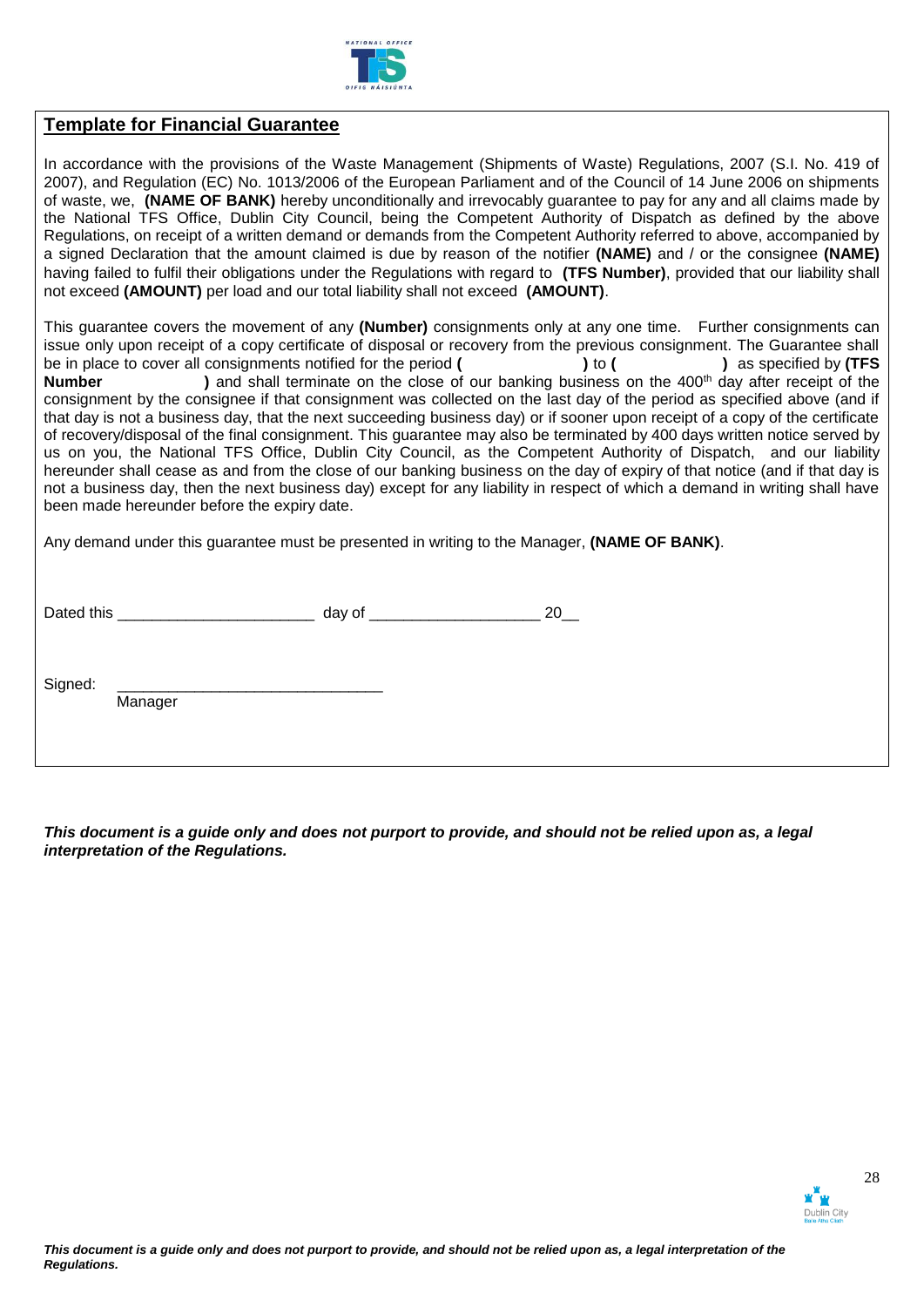

## **Template for Financial Guarantee**

In accordance with the provisions of the Waste Management (Shipments of Waste) Regulations, 2007 (S.I. No. 419 of 2007), and Regulation (EC) No. 1013/2006 of the European Parliament and of the Council of 14 June 2006 on shipments of waste, we, **(NAME OF BANK)** hereby unconditionally and irrevocably guarantee to pay for any and all claims made by the National TFS Office, Dublin City Council, being the Competent Authority of Dispatch as defined by the above Regulations, on receipt of a written demand or demands from the Competent Authority referred to above, accompanied by a signed Declaration that the amount claimed is due by reason of the notifier **(NAME)** and / or the consignee **(NAME)** having failed to fulfil their obligations under the Regulations with regard to **(TFS Number)**, provided that our liability shall not exceed **(AMOUNT)** per load and our total liability shall not exceed **(AMOUNT)**.

This guarantee covers the movement of any **(Number)** consignments only at any one time. Further consignments can issue only upon receipt of a copy certificate of disposal or recovery from the previous consignment. The Guarantee shall be in place to cover all consignments notified for the period **( )** to **( )** as specified by **(TFS Number** ) and shall terminate on the close of our banking business on the 400<sup>th</sup> day after receipt of the consignment by the consignee if that consignment was collected on the last day of the period as specified above (and if that day is not a business day, that the next succeeding business day) or if sooner upon receipt of a copy of the certificate of recovery/disposal of the final consignment. This guarantee may also be terminated by 400 days written notice served by us on you, the National TFS Office, Dublin City Council, as the Competent Authority of Dispatch, and our liability hereunder shall cease as and from the close of our banking business on the day of expiry of that notice (and if that day is not a business day, then the next business day) except for any liability in respect of which a demand in writing shall have been made hereunder before the expiry date.

Any demand under this guarantee must be presented in writing to the Manager, **(NAME OF BANK)**.

| Date <sub>u</sub><br>this | л. |  |
|---------------------------|----|--|
|                           |    |  |

Signed:

Manager

*This document is a guide only and does not purport to provide, and should not be relied upon as, a legal interpretation of the Regulations.*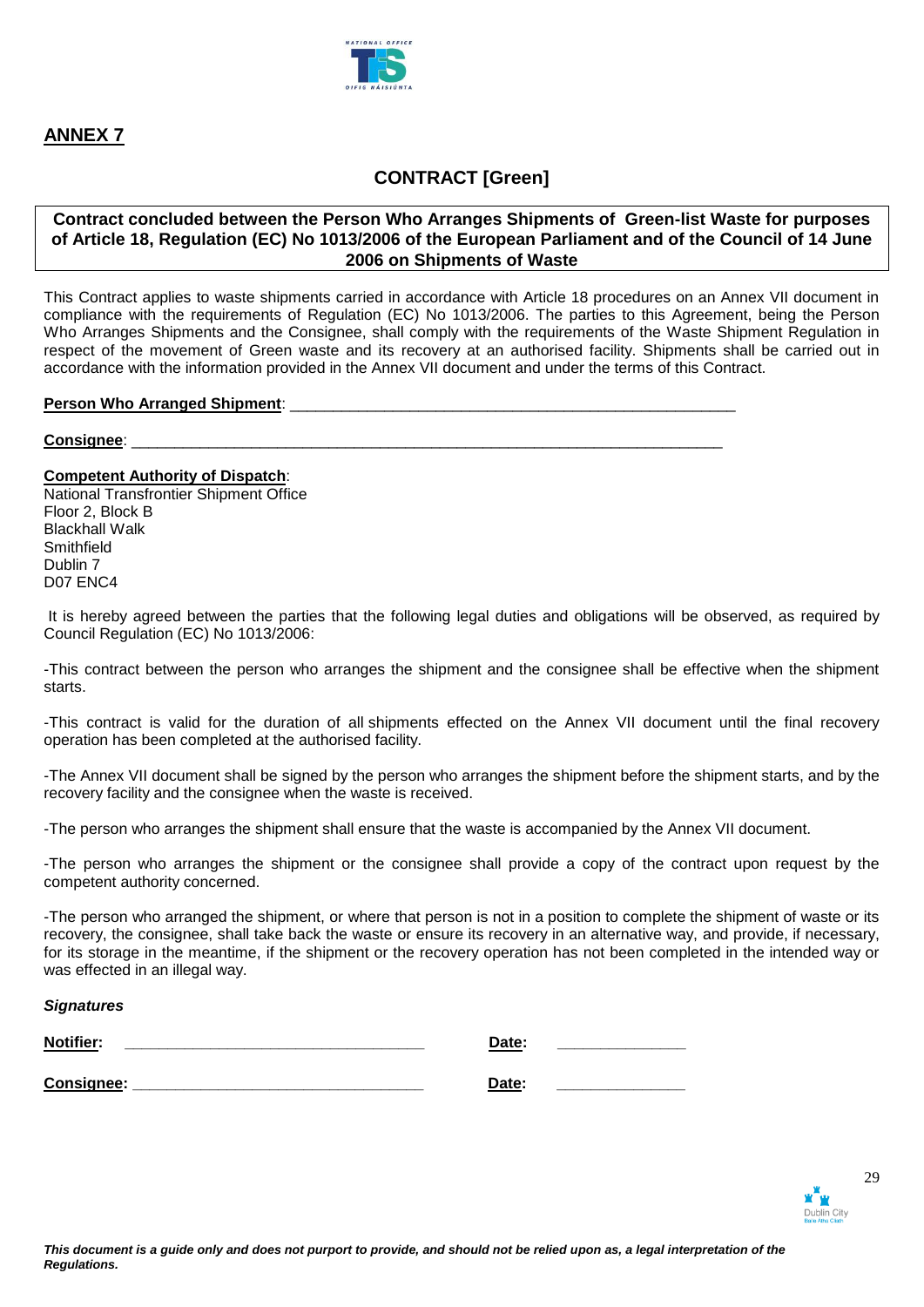

# **CONTRACT [Green]**

### **Contract concluded between the Person Who Arranges Shipments of Green-list Waste for purposes of Article 18, Regulation (EC) No 1013/2006 of the European Parliament and of the Council of 14 June 2006 on Shipments of Waste**

This Contract applies to waste shipments carried in accordance with Article 18 procedures on an Annex VII document in compliance with the requirements of Regulation (EC) No 1013/2006. The parties to this Agreement, being the Person Who Arranges Shipments and the Consignee, shall comply with the requirements of the Waste Shipment Regulation in respect of the movement of Green waste and its recovery at an authorised facility. Shipments shall be carried out in accordance with the information provided in the Annex VII document and under the terms of this Contract.

### **Person Who Arranged Shipment:**

### Consignee:

### **Competent Authority of Dispatch**:

National Transfrontier Shipment Office Floor 2, Block B Blackhall Walk **Smithfield** Dublin 7 D07 ENC4

It is hereby agreed between the parties that the following legal duties and obligations will be observed, as required by Council Regulation (EC) No 1013/2006:

-This contract between the person who arranges the shipment and the consignee shall be effective when the shipment starts.

-This contract is valid for the duration of all shipments effected on the Annex VII document until the final recovery operation has been completed at the authorised facility.

-The Annex VII document shall be signed by the person who arranges the shipment before the shipment starts, and by the recovery facility and the consignee when the waste is received.

-The person who arranges the shipment shall ensure that the waste is accompanied by the Annex VII document.

-The person who arranges the shipment or the consignee shall provide a copy of the contract upon request by the competent authority concerned.

-The person who arranged the shipment, or where that person is not in a position to complete the shipment of waste or its recovery, the consignee, shall take back the waste or ensure its recovery in an alternative way, and provide, if necessary, for its storage in the meantime, if the shipment or the recovery operation has not been completed in the intended way or was effected in an illegal way.

### *Signatures*

| <b>Notifier:</b> | Date: |  |
|------------------|-------|--|
| Consignee:       | Date: |  |

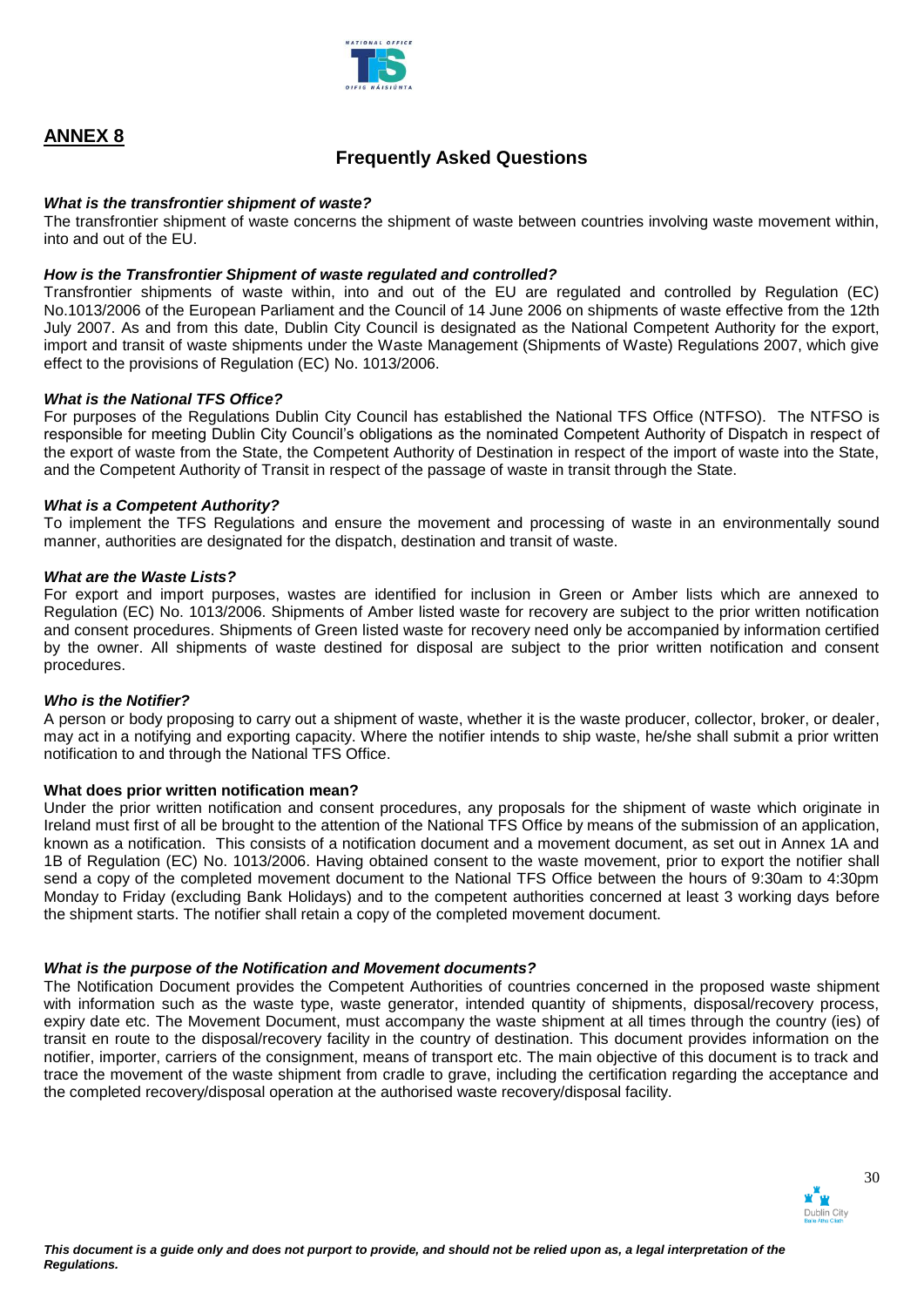

# **Frequently Asked Questions**

### *What is the transfrontier shipment of waste?*

The transfrontier shipment of waste concerns the shipment of waste between countries involving waste movement within, into and out of the EU.

### *How is the Transfrontier Shipment of waste regulated and controlled?*

Transfrontier shipments of waste within, into and out of the EU are regulated and controlled by Regulation (EC) No.1013/2006 of the European Parliament and the Council of 14 June 2006 on shipments of waste effective from the 12th July 2007. As and from this date, Dublin City Council is designated as the National Competent Authority for the export, import and transit of waste shipments under the Waste Management (Shipments of Waste) Regulations 2007, which give effect to the provisions of Regulation (EC) No. 1013/2006.

### *What is the National TFS Office?*

For purposes of the Regulations Dublin City Council has established the National TFS Office (NTFSO). The NTFSO is responsible for meeting Dublin City Council's obligations as the nominated Competent Authority of Dispatch in respect of the export of waste from the State, the Competent Authority of Destination in respect of the import of waste into the State, and the Competent Authority of Transit in respect of the passage of waste in transit through the State.

### *What is a Competent Authority?*

To implement the TFS Regulations and ensure the movement and processing of waste in an environmentally sound manner, authorities are designated for the dispatch, destination and transit of waste.

### *What are the Waste Lists?*

For export and import purposes, wastes are identified for inclusion in Green or Amber lists which are annexed to Regulation (EC) No. 1013/2006. Shipments of Amber listed waste for recovery are subject to the prior written notification and consent procedures. Shipments of Green listed waste for recovery need only be accompanied by information certified by the owner. All shipments of waste destined for disposal are subject to the prior written notification and consent procedures.

### *Who is the Notifier?*

A person or body proposing to carry out a shipment of waste, whether it is the waste producer, collector, broker, or dealer, may act in a notifying and exporting capacity. Where the notifier intends to ship waste, he/she shall submit a prior written notification to and through the National TFS Office.

### **What does prior written notification mean?**

Under the prior written notification and consent procedures, any proposals for the shipment of waste which originate in Ireland must first of all be brought to the attention of the National TFS Office by means of the submission of an application, known as a notification. This consists of a notification document and a movement document, as set out in Annex 1A and 1B of Regulation (EC) No. 1013/2006. Having obtained consent to the waste movement, prior to export the notifier shall send a copy of the completed movement document to the National TFS Office between the hours of 9:30am to 4:30pm Monday to Friday (excluding Bank Holidays) and to the competent authorities concerned at least 3 working days before the shipment starts. The notifier shall retain a copy of the completed movement document.

### *What is the purpose of the Notification and Movement documents?*

The Notification Document provides the Competent Authorities of countries concerned in the proposed waste shipment with information such as the waste type, waste generator, intended quantity of shipments, disposal/recovery process, expiry date etc. The Movement Document, must accompany the waste shipment at all times through the country (ies) of transit en route to the disposal/recovery facility in the country of destination. This document provides information on the notifier, importer, carriers of the consignment, means of transport etc. The main objective of this document is to track and trace the movement of the waste shipment from cradle to grave, including the certification regarding the acceptance and the completed recovery/disposal operation at the authorised waste recovery/disposal facility.

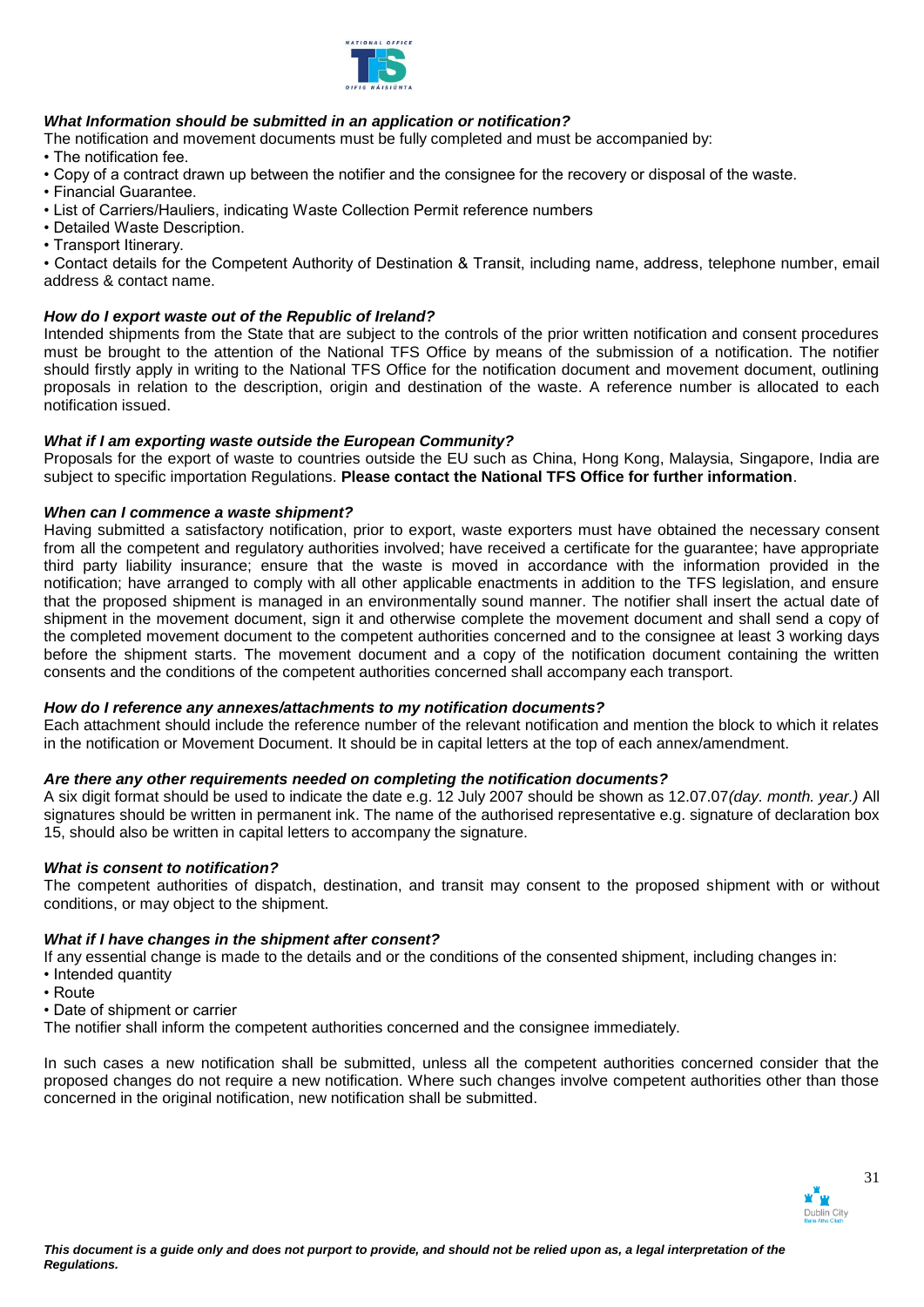

## *What Information should be submitted in an application or notification?*

The notification and movement documents must be fully completed and must be accompanied by:

• The notification fee.

- Copy of a contract drawn up between the notifier and the consignee for the recovery or disposal of the waste.
- Financial Guarantee.
- List of Carriers/Hauliers, indicating Waste Collection Permit reference numbers
- Detailed Waste Description.
- Transport Itinerary.

• Contact details for the Competent Authority of Destination & Transit, including name, address, telephone number, email address & contact name.

### *How do I export waste out of the Republic of Ireland?*

Intended shipments from the State that are subject to the controls of the prior written notification and consent procedures must be brought to the attention of the National TFS Office by means of the submission of a notification. The notifier should firstly apply in writing to the National TFS Office for the notification document and movement document, outlining proposals in relation to the description, origin and destination of the waste. A reference number is allocated to each notification issued.

### *What if I am exporting waste outside the European Community?*

Proposals for the export of waste to countries outside the EU such as China, Hong Kong, Malaysia, Singapore, India are subject to specific importation Regulations. **Please contact the National TFS Office for further information**.

### *When can I commence a waste shipment?*

Having submitted a satisfactory notification, prior to export, waste exporters must have obtained the necessary consent from all the competent and regulatory authorities involved; have received a certificate for the guarantee; have appropriate third party liability insurance; ensure that the waste is moved in accordance with the information provided in the notification; have arranged to comply with all other applicable enactments in addition to the TFS legislation, and ensure that the proposed shipment is managed in an environmentally sound manner. The notifier shall insert the actual date of shipment in the movement document, sign it and otherwise complete the movement document and shall send a copy of the completed movement document to the competent authorities concerned and to the consignee at least 3 working days before the shipment starts. The movement document and a copy of the notification document containing the written consents and the conditions of the competent authorities concerned shall accompany each transport.

### *How do I reference any annexes/attachments to my notification documents?*

Each attachment should include the reference number of the relevant notification and mention the block to which it relates in the notification or Movement Document. It should be in capital letters at the top of each annex/amendment.

### *Are there any other requirements needed on completing the notification documents?*

A six digit format should be used to indicate the date e.g. 12 July 2007 should be shown as 12.07.07*(day. month. year.)* All signatures should be written in permanent ink. The name of the authorised representative e.g. signature of declaration box 15, should also be written in capital letters to accompany the signature.

### *What is consent to notification?*

The competent authorities of dispatch, destination, and transit may consent to the proposed shipment with or without conditions, or may object to the shipment.

### *What if I have changes in the shipment after consent?*

If any essential change is made to the details and or the conditions of the consented shipment, including changes in: • Intended quantity

- Route
- Date of shipment or carrier

The notifier shall inform the competent authorities concerned and the consignee immediately.

In such cases a new notification shall be submitted, unless all the competent authorities concerned consider that the proposed changes do not require a new notification. Where such changes involve competent authorities other than those concerned in the original notification, new notification shall be submitted.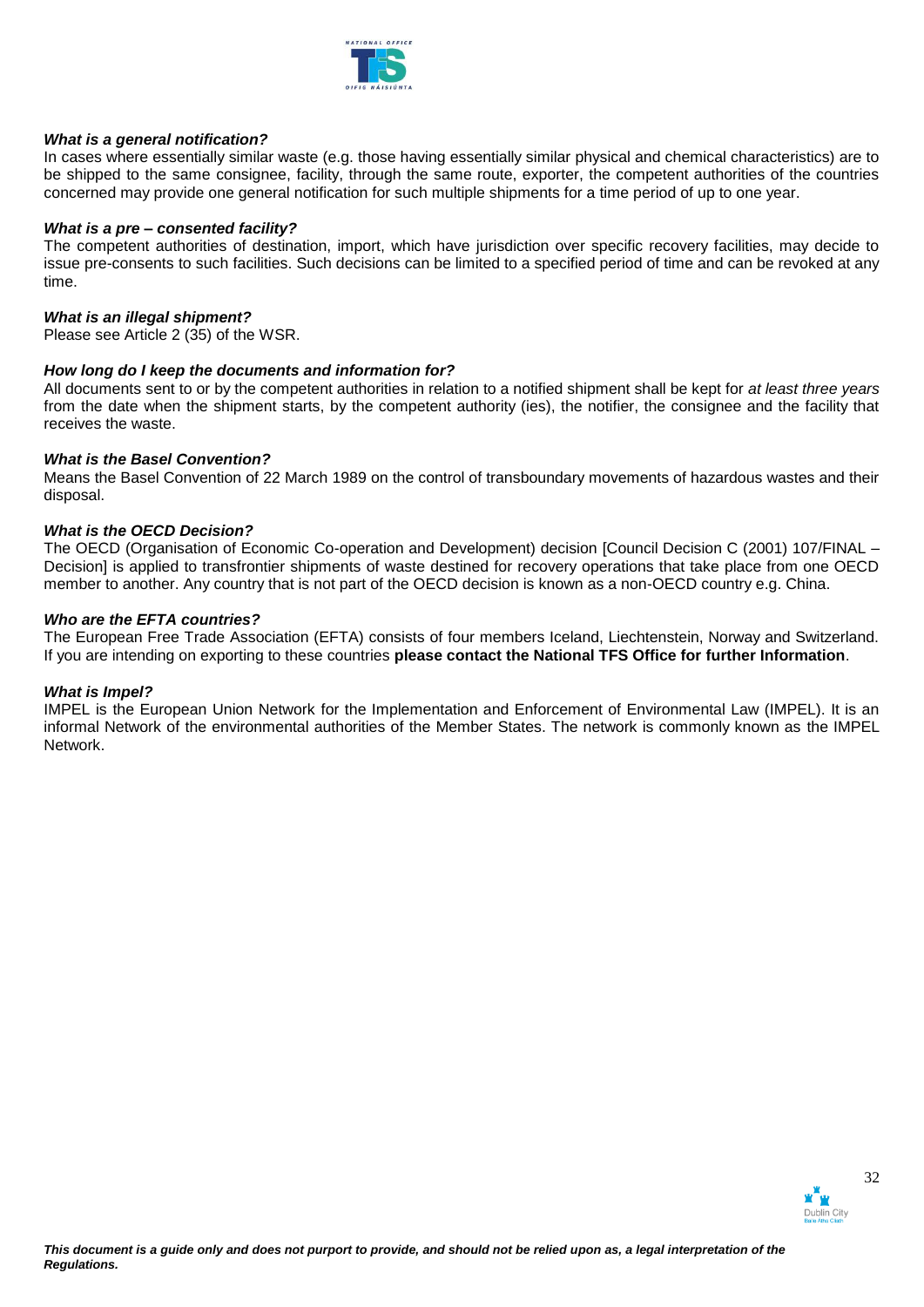

### *What is a general notification?*

In cases where essentially similar waste (e.g. those having essentially similar physical and chemical characteristics) are to be shipped to the same consignee, facility, through the same route, exporter, the competent authorities of the countries concerned may provide one general notification for such multiple shipments for a time period of up to one year.

#### *What is a pre – consented facility?*

The competent authorities of destination, import, which have jurisdiction over specific recovery facilities, may decide to issue pre-consents to such facilities. Such decisions can be limited to a specified period of time and can be revoked at any time.

#### *What is an illegal shipment?*

Please see Article 2 (35) of the WSR.

#### *How long do I keep the documents and information for?*

All documents sent to or by the competent authorities in relation to a notified shipment shall be kept for *at least three years*  from the date when the shipment starts, by the competent authority (ies), the notifier, the consignee and the facility that receives the waste.

#### *What is the Basel Convention?*

Means the Basel Convention of 22 March 1989 on the control of transboundary movements of hazardous wastes and their disposal.

#### *What is the OECD Decision?*

The OECD (Organisation of Economic Co-operation and Development) decision [Council Decision C (2001) 107/FINAL – Decision] is applied to transfrontier shipments of waste destined for recovery operations that take place from one OECD member to another. Any country that is not part of the OECD decision is known as a non-OECD country e.g. China.

#### *Who are the EFTA countries?*

The European Free Trade Association (EFTA) consists of four members Iceland, Liechtenstein, Norway and Switzerland. If you are intending on exporting to these countries **please contact the National TFS Office for further Information**.

#### *What is Impel?*

IMPEL is the European Union Network for the Implementation and Enforcement of Environmental Law (IMPEL). It is an informal Network of the environmental authorities of the Member States. The network is commonly known as the IMPEL Network.

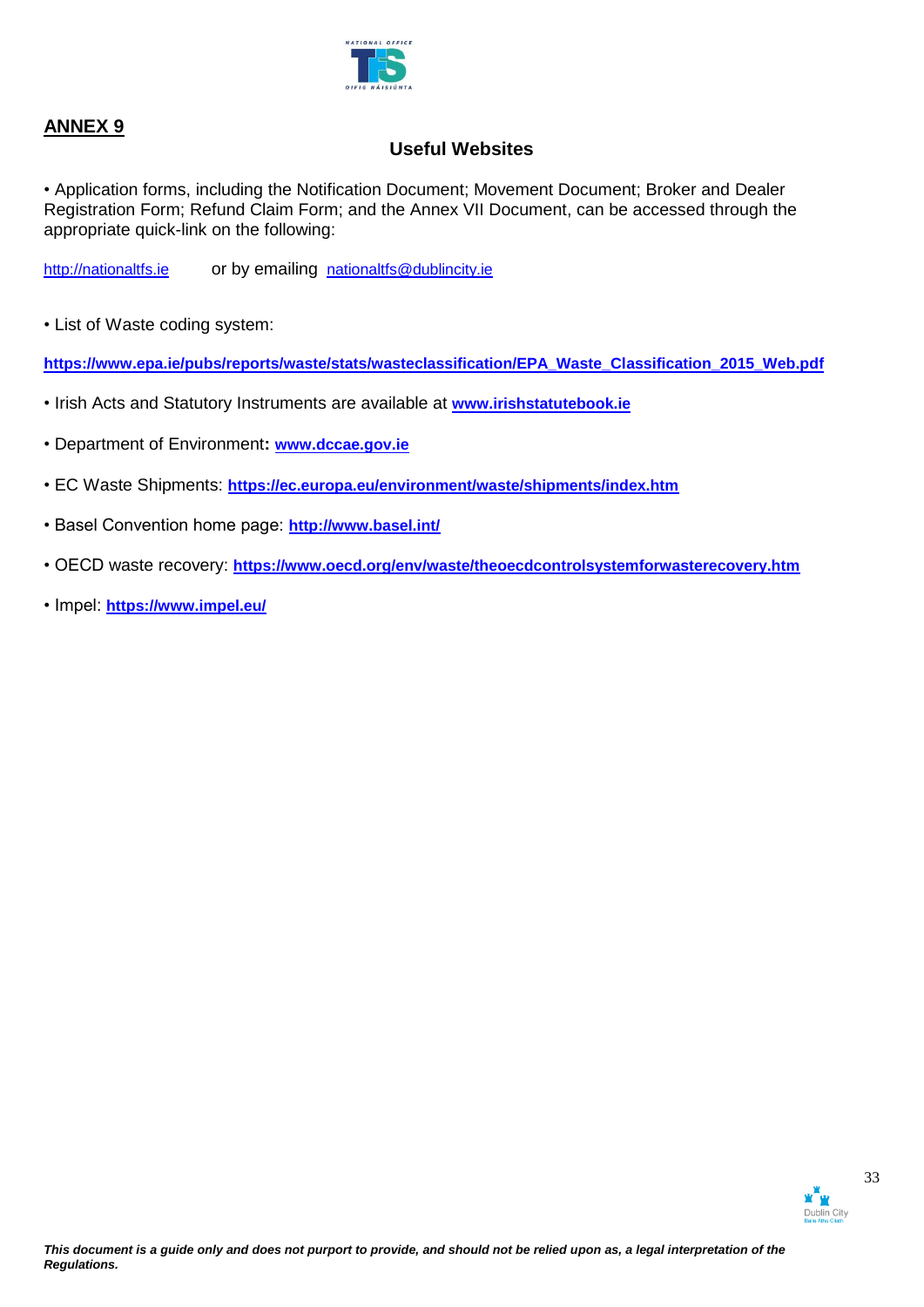

# **Useful Websites**

• Application forms, including the Notification Document; Movement Document; Broker and Dealer Registration Form; Refund Claim Form; and the Annex VII Document, can be accessed through the appropriate quick-link on the following:

[http://nationaltfs.ie](http://www.nationaltfs.ie/) or by emailing [nationaltfs@dublincity.ie](mailto:nationaltfs@dublincity.ie)

• List of Waste coding system:

**[https://www.epa.ie/pubs/reports/waste/stats/wasteclassification/EPA\\_Waste\\_Classification\\_2015\\_Web.pdf](https://www.epa.ie/pubs/reports/waste/stats/wasteclassification/EPA_Waste_Classification_2015_Web.pdf)**

- Irish Acts and Statutory Instruments are available at **[www.irishstatutebook.ie](http://www.irishstatutebook.ie/)**
- Department of Environment**: [www.dccae.gov.ie](http://www.dccae.gov.ie/)**
- EC Waste Shipments: **<https://ec.europa.eu/environment/waste/shipments/index.htm>**
- Basel Convention home page: **<http://www.basel.int/>**
- OECD waste recovery: **<https://www.oecd.org/env/waste/theoecdcontrolsystemforwasterecovery.htm>**
- Impel: **<https://www.impel.eu/>**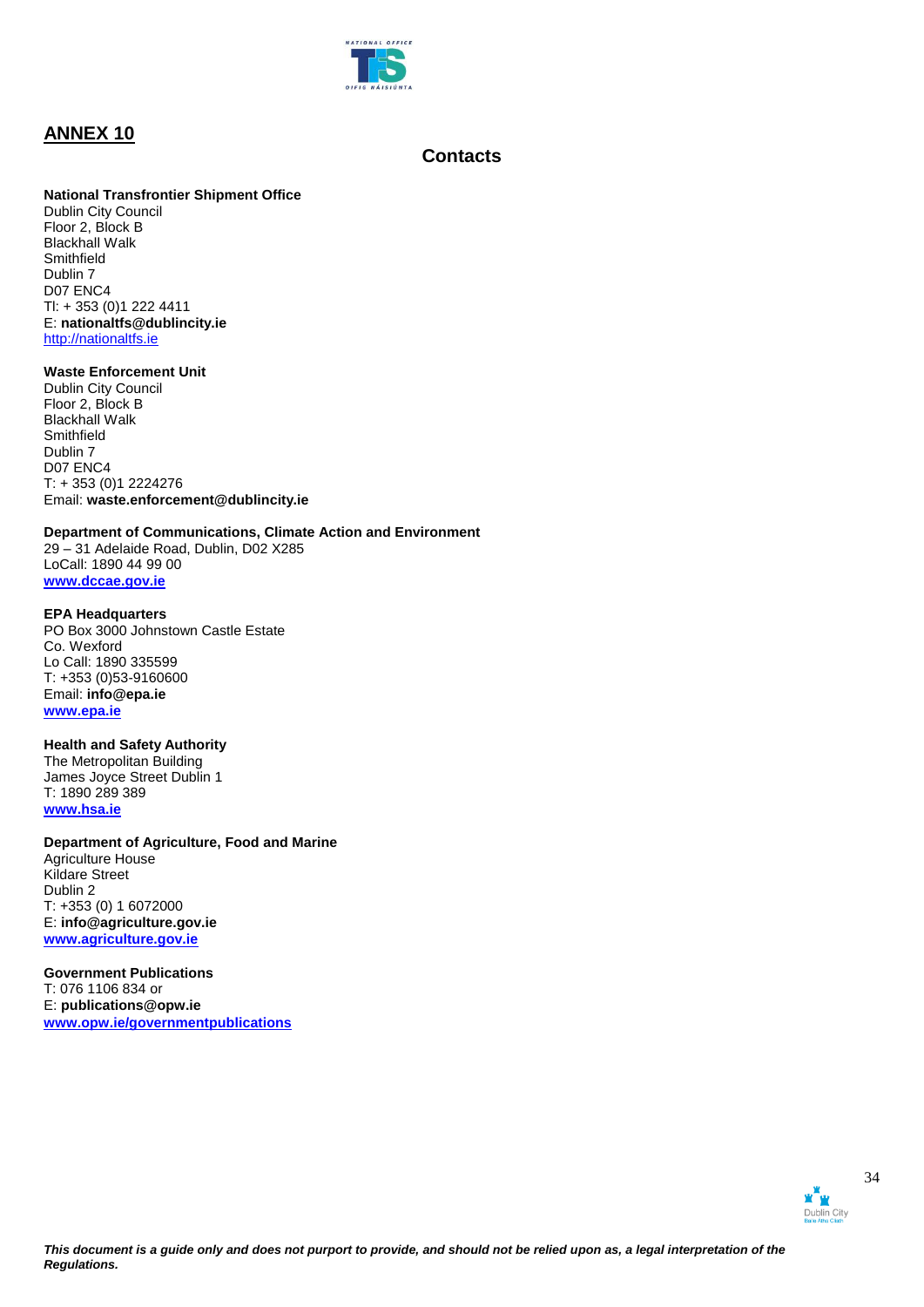

# **Contacts**

### **National Transfrontier Shipment Office**

Dublin City Council Floor 2, Block B Blackhall Walk **Smithfield** Dublin 7 D07 ENC4 Tl: + 353 (0)1 222 4411 E: **nationaltfs@dublincity.ie** [http://nationaltfs.ie](http://www.nationaltfs.ie/) 

#### **Waste Enforcement Unit**

Dublin City Council Floor 2, Block B Blackhall Walk Smithfield Dublin 7 D<sub>07</sub> ENC<sub>4</sub> T: + 353 (0)1 2224276 Email: **waste.enforcement@dublincity.ie**

### **Department of Communications, Climate Action and Environment**

29 – 31 Adelaide Road, Dublin, D02 X285 LoCall: 1890 44 99 00 **[www.dccae.gov.ie](http://www.dccae.gov.ie/)**

#### **EPA Headquarters**

PO Box 3000 Johnstown Castle Estate Co. Wexford Lo Call: 1890 335599 T: +353 (0)53-9160600 Email: **info@epa.ie [www.epa.ie](http://www.epa.ie/)**

### **Health and Safety Authority**

The Metropolitan Building James Joyce Street Dublin 1 T: 1890 289 389 **[www.hsa.ie](http://www.hsa.ie/)**

### **Department of Agriculture, Food and Marine**

Agriculture House Kildare Street Dublin 2 T: +353 (0) 1 6072000 E: **info@agriculture.gov.ie [www.agriculture.gov.ie](http://www.agriculture.gov.ie/)**

**Government Publications**  T: 076 1106 834 or E: **[publications@opw.ie](mailto:publications@opw.ie) [www.opw.ie/governmentpublications](http://www.opw.ie/governmentpublications)**